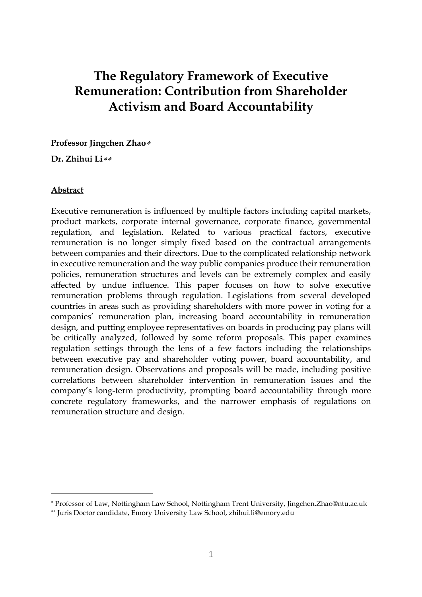# **The Regulatory Framework of Executive Remuneration: Contribution from Shareholder Activism and Board Accountability**

**Professor Jingchen Zhao**

**Dr. Zhihui Li**

#### **Abstract**

<u>.</u>

Executive remuneration is influenced by multiple factors including capital markets, product markets, corporate internal governance, corporate finance, governmental regulation, and legislation. Related to various practical factors, executive remuneration is no longer simply fixed based on the contractual arrangements between companies and their directors. Due to the complicated relationship network in executive remuneration and the way public companies produce their remuneration policies, remuneration structures and levels can be extremely complex and easily affected by undue influence. This paper focuses on how to solve executive remuneration problems through regulation. Legislations from several developed countries in areas such as providing shareholders with more power in voting for a companies' remuneration plan, increasing board accountability in remuneration design, and putting employee representatives on boards in producing pay plans will be critically analyzed, followed by some reform proposals. This paper examines regulation settings through the lens of a few factors including the relationships between executive pay and shareholder voting power, board accountability, and remuneration design. Observations and proposals will be made, including positive correlations between shareholder intervention in remuneration issues and the company's long-term productivity, prompting board accountability through more concrete regulatory frameworks, and the narrower emphasis of regulations on remuneration structure and design.

Professor of Law, Nottingham Law School, Nottingham Trent University, Jingchen.Zhao@ntu.ac.uk

Juris Doctor candidate, Emory University Law School, zhihui.li@emory.edu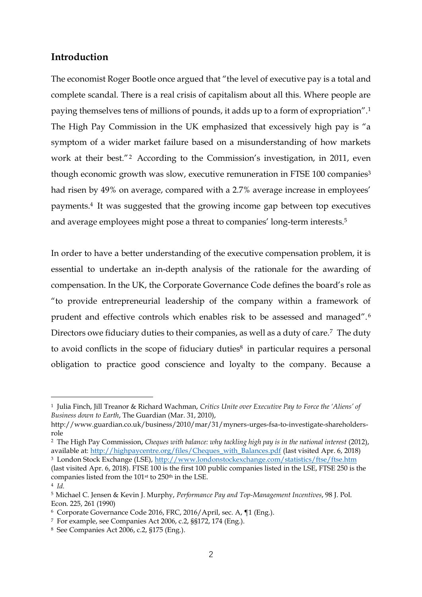## **Introduction**

The economist Roger Bootle once argued that "the level of executive pay is a total and complete scandal. There is a real crisis of capitalism about all this. Where people are paying themselves tens of millions of pounds, it adds up to a form of expropriation".<sup>1</sup> The High Pay Commission in the UK emphasized that excessively high pay is "a symptom of a wider market failure based on a misunderstanding of how markets work at their best."<sup>2</sup> According to the Commission's investigation, in 2011, even though economic growth was slow, executive remuneration in FTSE 100 companies<sup>3</sup> had risen by 49% on average, compared with a 2.7% average increase in employees' payments.<sup>4</sup> It was suggested that the growing income gap between top executives and average employees might pose a threat to companies' long-term interests.<sup>5</sup>

In order to have a better understanding of the executive compensation problem, it is essential to undertake an in-depth analysis of the rationale for the awarding of compensation. In the UK, the Corporate Governance Code defines the board's role as "to provide entrepreneurial leadership of the company within a framework of prudent and effective controls which enables risk to be assessed and managed". <sup>6</sup> Directors owe fiduciary duties to their companies, as well as a duty of care.<sup>7</sup> The duty to avoid conflicts in the scope of fiduciary duties<sup>8</sup> in particular requires a personal obligation to practice good conscience and loyalty to the company. Because a

<sup>1</sup> Julia Finch, Jill Treanor & Richard Wachman, *Critics Unite over Executive Pay to Force the 'Aliens' of Business down to Earth*, The Guardian (Mar. 31, 2010),

[http://www.guardian.co.uk/business/2010/mar/31/myners-urges-fsa-to-investigate-shareholders](http://www.guardian.co.uk/business/2010/mar/31/myners-urges-fsa-to-investigate-shareholders-role)[role](http://www.guardian.co.uk/business/2010/mar/31/myners-urges-fsa-to-investigate-shareholders-role)

<sup>&</sup>lt;sup>2</sup> The High Pay Commission, *Cheques with balance: why tackling high pay is in the national interest* (2012), available at: [http://highpaycentre.org/files/Cheques\\_with\\_Balances.pdf](http://highpaycentre.org/files/Cheques_with_Balances.pdf) (last visited Apr. 6, 2018) <sup>3</sup> London Stock Exchange (LSE),<http://www.londonstockexchange.com/statistics/ftse/ftse.htm>

<sup>(</sup>last visited Apr. 6, 2018). FTSE 100 is the first 100 public companies listed in the LSE, FTSE 250 is the companies listed from the 101st to 250th in the LSE.

<sup>4</sup> *Id.*

<sup>5</sup> Michael C. Jensen & Kevin J. Murphy, *Performance Pay and Top-Management Incentives*, 98 J. Pol. Econ. 225, 261 (1990)

<sup>6</sup> Corporate Governance Code 2016, FRC, 2016/April, sec. A, ¶1 (Eng.).

<sup>7</sup> For example, see Companies Act 2006, c.2, §§172, 174 (Eng.).

<sup>8</sup> See Companies Act 2006, c.2, §175 (Eng.).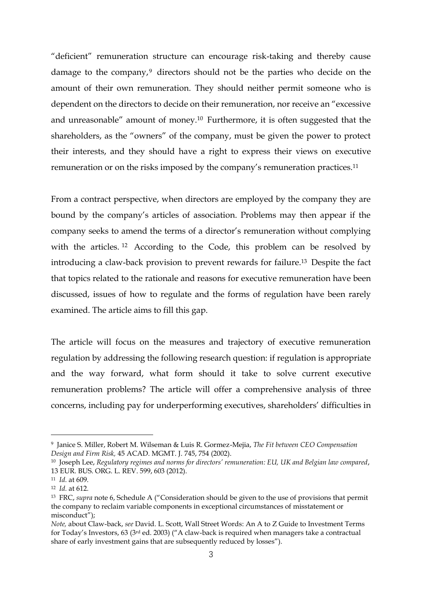"deficient" remuneration structure can encourage risk-taking and thereby cause damage to the company, $9$  directors should not be the parties who decide on the amount of their own remuneration. They should neither permit someone who is dependent on the directors to decide on their remuneration, nor receive an "excessive and unreasonable" amount of money.<sup>10</sup> Furthermore, it is often suggested that the shareholders, as the "owners" of the company, must be given the power to protect their interests, and they should have a right to express their views on executive remuneration or on the risks imposed by the company's remuneration practices.<sup>11</sup>

From a contract perspective, when directors are employed by the company they are bound by the company's articles of association. Problems may then appear if the company seeks to amend the terms of a director's remuneration without complying with the articles.<sup>12</sup> According to the Code, this problem can be resolved by introducing a claw-back provision to prevent rewards for failure.<sup>13</sup> Despite the fact that topics related to the rationale and reasons for executive remuneration have been discussed, issues of how to regulate and the forms of regulation have been rarely examined. The article aims to fill this gap.

The article will focus on the measures and trajectory of executive remuneration regulation by addressing the following research question: if regulation is appropriate and the way forward, what form should it take to solve current executive remuneration problems? The article will offer a comprehensive analysis of three concerns, including pay for underperforming executives, shareholders' difficulties in

1

<sup>9</sup> Janice S. Miller, Robert M. Wilseman & Luis R. Gormez-Mejia, *The Fit between CEO Compensation Design and Firm Risk,* 45 ACAD. MGMT. J. 745, 754 (2002).

<sup>10</sup> Joseph Lee, *Regulatory regimes and norms for directors' remuneration: EU, UK and Belgian law compared*, 13 EUR. BUS. ORG. L. REV. 599, 603 (2012).

<sup>11</sup> *Id.* at 609.

<sup>12</sup> *Id.* at 612.

<sup>13</sup> FRC, *supra* note 6, Schedule A ("Consideration should be given to the use of provisions that permit the company to reclaim variable components in exceptional circumstances of misstatement or misconduct");

*Note,* about Claw-back, *see* David. L. Scott, Wall Street Words: An A to Z Guide to Investment Terms for Today's Investors, 63 (3rd ed. 2003) ("A claw-back is required when managers take a contractual share of early investment gains that are subsequently reduced by losses").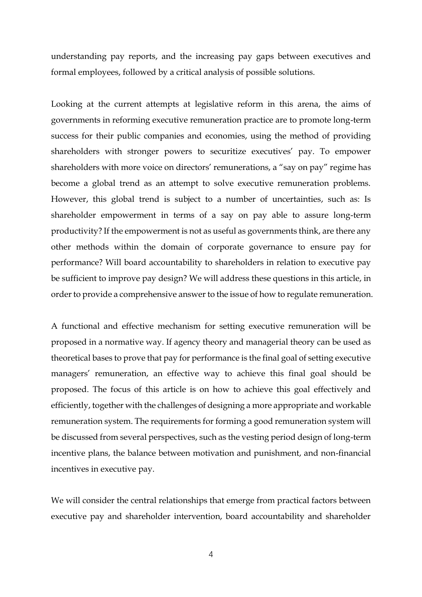understanding pay reports, and the increasing pay gaps between executives and formal employees, followed by a critical analysis of possible solutions.

Looking at the current attempts at legislative reform in this arena, the aims of governments in reforming executive remuneration practice are to promote long-term success for their public companies and economies, using the method of providing shareholders with stronger powers to securitize executives' pay. To empower shareholders with more voice on directors' remunerations, a "say on pay" regime has become a global trend as an attempt to solve executive remuneration problems. However, this global trend is subject to a number of uncertainties, such as: Is shareholder empowerment in terms of a say on pay able to assure long-term productivity? If the empowerment is not as useful as governments think, are there any other methods within the domain of corporate governance to ensure pay for performance? Will board accountability to shareholders in relation to executive pay be sufficient to improve pay design? We will address these questions in this article, in order to provide a comprehensive answer to the issue of how to regulate remuneration.

A functional and effective mechanism for setting executive remuneration will be proposed in a normative way. If agency theory and managerial theory can be used as theoretical bases to prove that pay for performance is the final goal of setting executive managers' remuneration, an effective way to achieve this final goal should be proposed. The focus of this article is on how to achieve this goal effectively and efficiently, together with the challenges of designing a more appropriate and workable remuneration system. The requirements for forming a good remuneration system will be discussed from several perspectives, such as the vesting period design of long-term incentive plans, the balance between motivation and punishment, and non-financial incentives in executive pay.

We will consider the central relationships that emerge from practical factors between executive pay and shareholder intervention, board accountability and shareholder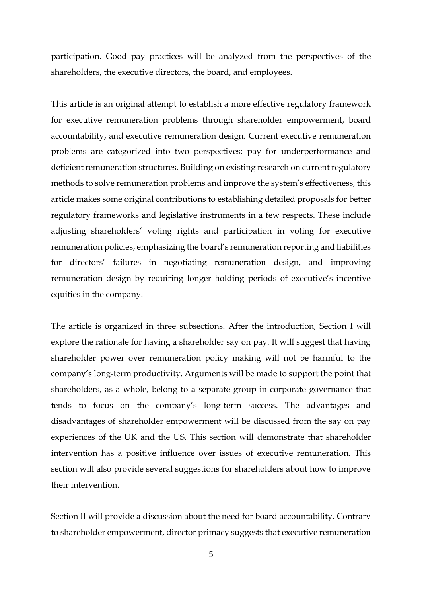participation. Good pay practices will be analyzed from the perspectives of the shareholders, the executive directors, the board, and employees.

This article is an original attempt to establish a more effective regulatory framework for executive remuneration problems through shareholder empowerment, board accountability, and executive remuneration design. Current executive remuneration problems are categorized into two perspectives: pay for underperformance and deficient remuneration structures. Building on existing research on current regulatory methods to solve remuneration problems and improve the system's effectiveness, this article makes some original contributions to establishing detailed proposals for better regulatory frameworks and legislative instruments in a few respects. These include adjusting shareholders' voting rights and participation in voting for executive remuneration policies, emphasizing the board's remuneration reporting and liabilities for directors' failures in negotiating remuneration design, and improving remuneration design by requiring longer holding periods of executive's incentive equities in the company.

The article is organized in three subsections. After the introduction, Section I will explore the rationale for having a shareholder say on pay. It will suggest that having shareholder power over remuneration policy making will not be harmful to the company's long-term productivity. Arguments will be made to support the point that shareholders, as a whole, belong to a separate group in corporate governance that tends to focus on the company's long-term success. The advantages and disadvantages of shareholder empowerment will be discussed from the say on pay experiences of the UK and the US. This section will demonstrate that shareholder intervention has a positive influence over issues of executive remuneration. This section will also provide several suggestions for shareholders about how to improve their intervention.

Section II will provide a discussion about the need for board accountability. Contrary to shareholder empowerment, director primacy suggests that executive remuneration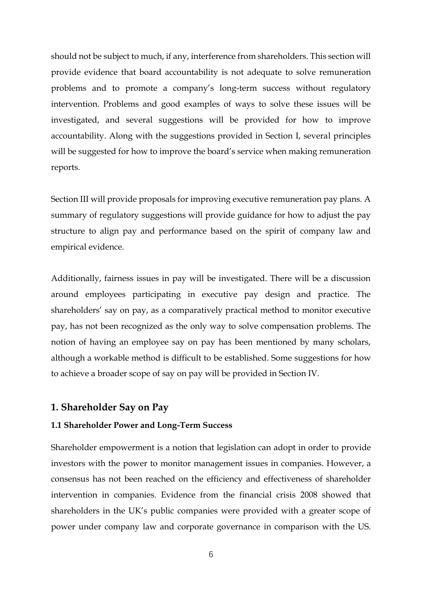should not be subject to much, if any, interference from shareholders. This section will provide evidence that board accountability is not adequate to solve remuneration problems and to promote a company's long-term success without regulatory intervention. Problems and good examples of ways to solve these issues will be investigated, and several suggestions will be provided for how to improve accountability. Along with the suggestions provided in Section I, several principles will be suggested for how to improve the board's service when making remuneration reports.

Section III will provide proposals for improving executive remuneration pay plans. A summary of regulatory suggestions will provide guidance for how to adjust the pay structure to align pay and performance based on the spirit of company law and empirical evidence.

Additionally, fairness issues in pay will be investigated. There will be a discussion around employees participating in executive pay design and practice. The shareholders' say on pay, as a comparatively practical method to monitor executive pay, has not been recognized as the only way to solve compensation problems. The notion of having an employee say on pay has been mentioned by many scholars, although a workable method is difficult to be established. Some suggestions for how to achieve a broader scope of say on pay will be provided in Section IV.

## **1. Shareholder Say on Pay**

#### **1.1 Shareholder Power and Long-Term Success**

Shareholder empowerment is a notion that legislation can adopt in order to provide investors with the power to monitor management issues in companies. However, a consensus has not been reached on the efficiency and effectiveness of shareholder intervention in companies. Evidence from the financial crisis 2008 showed that shareholders in the UK's public companies were provided with a greater scope of power under company law and corporate governance in comparison with the US.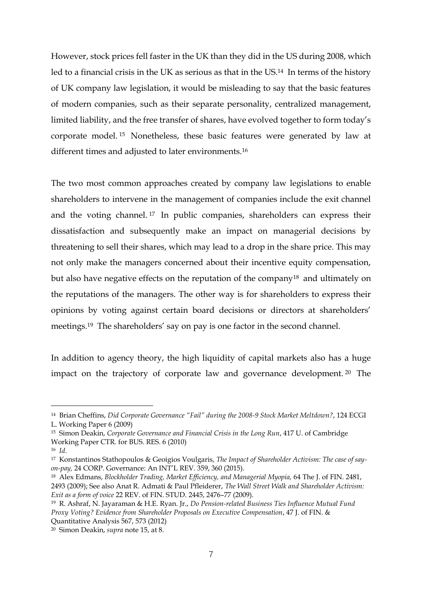However, stock prices fell faster in the UK than they did in the US during 2008, which led to a financial crisis in the UK as serious as that in the US.<sup>14</sup> In terms of the history of UK company law legislation, it would be misleading to say that the basic features of modern companies, such as their separate personality, centralized management, limited liability, and the free transfer of shares, have evolved together to form today's corporate model. <sup>15</sup> Nonetheless, these basic features were generated by law at different times and adjusted to later environments.<sup>16</sup>

The two most common approaches created by company law legislations to enable shareholders to intervene in the management of companies include the exit channel and the voting channel. <sup>17</sup> In public companies, shareholders can express their dissatisfaction and subsequently make an impact on managerial decisions by threatening to sell their shares, which may lead to a drop in the share price. This may not only make the managers concerned about their incentive equity compensation, but also have negative effects on the reputation of the company<sup>18</sup> and ultimately on the reputations of the managers. The other way is for shareholders to express their opinions by voting against certain board decisions or directors at shareholders' meetings.<sup>19</sup> The shareholders' say on pay is one factor in the second channel.

In addition to agency theory, the high liquidity of capital markets also has a huge impact on the trajectory of corporate law and governance development. <sup>20</sup> The

<sup>14</sup> Brian Cheffins, *Did Corporate Governance "Fail" during the 2008-9 Stock Market Meltdown?*, 124 ECGI

L. Working Paper 6 (2009)

<sup>15</sup> Simon Deakin, *Corporate Governance and Financial Crisis in the Long Run*, 417 U. of Cambridge Working Paper CTR. for BUS. RES. 6 (2010)

<sup>16</sup> *Id*.

<sup>17</sup> Konstantinos Stathopoulos & Geoigios Voulgaris, *The Impact of Shareholder Activism: The case of sayon-pay,* 24 CORP. Governance: An INT'L REV. 359, 360 (2015).

<sup>18</sup> Alex Edmans, *Blockholder Trading, Market Efficiency, and Managerial Myopia,* 64 The J. of FIN. 2481, 2493 (2009); See also Anat R. Admati & Paul Pfleiderer, *The Wall Street Walk and Shareholder Activism: Exit as a form of voice* 22 REV. of FIN. STUD. 2445, 2476–77 (2009).

<sup>19</sup> R. Ashraf, N. Jayaraman & H.E. Ryan. Jr., *Do Pension-related Business Ties Influence Mutual Fund Proxy Voting? Evidence from Shareholder Proposals on Executive Compensation*, 47 J. of FIN. & Quantitative Analysis 567, 573 (2012)

<sup>20</sup> Simon Deakin, *supra* note 15, at 8.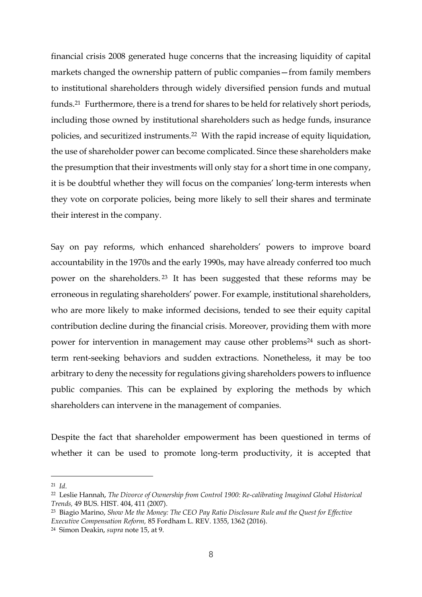financial crisis 2008 generated huge concerns that the increasing liquidity of capital markets changed the ownership pattern of public companies—from family members to institutional shareholders through widely diversified pension funds and mutual funds.<sup>21</sup> Furthermore, there is a trend for shares to be held for relatively short periods, including those owned by institutional shareholders such as hedge funds, insurance policies, and securitized instruments.<sup>22</sup> With the rapid increase of equity liquidation, the use of shareholder power can become complicated. Since these shareholders make the presumption that their investments will only stay for a short time in one company, it is be doubtful whether they will focus on the companies' long-term interests when they vote on corporate policies, being more likely to sell their shares and terminate their interest in the company.

Say on pay reforms, which enhanced shareholders' powers to improve board accountability in the 1970s and the early 1990s, may have already conferred too much power on the shareholders. <sup>23</sup> It has been suggested that these reforms may be erroneous in regulating shareholders' power. For example, institutional shareholders, who are more likely to make informed decisions, tended to see their equity capital contribution decline during the financial crisis. Moreover, providing them with more power for intervention in management may cause other problems<sup>24</sup> such as shortterm rent-seeking behaviors and sudden extractions. Nonetheless, it may be too arbitrary to deny the necessity for regulations giving shareholders powers to influence public companies. This can be explained by exploring the methods by which shareholders can intervene in the management of companies.

Despite the fact that shareholder empowerment has been questioned in terms of whether it can be used to promote long-term productivity, it is accepted that

<sup>21</sup> *Id*.

<sup>22</sup> Leslie Hannah, *The Divorce of Ownership from Control 1900: Re-calibrating Imagined Global Historical Trends,* 49 BUS. HIST. 404, 411 (2007).

<sup>23</sup> Biagio Marino, *Show Me the Money: The CEO Pay Ratio Disclosure Rule and the Quest for Effective Executive Compensation Reform,* 85 Fordham L. REV. 1355, 1362 (2016).

<sup>24</sup> Simon Deakin, *supra* note 15, at 9.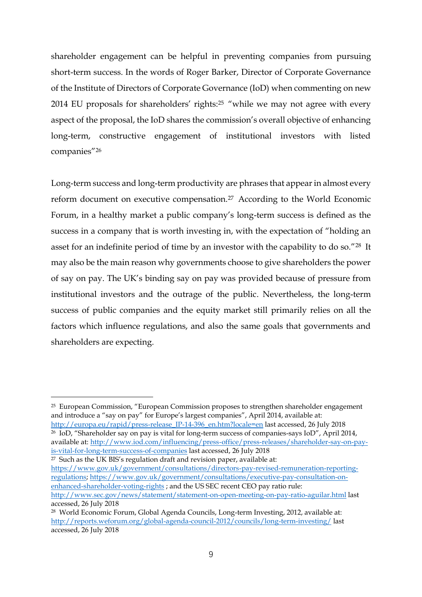shareholder engagement can be helpful in preventing companies from pursuing short-term success. In the words of Roger Barker, Director of Corporate Governance of the Institute of Directors of Corporate Governance (IoD) when commenting on new 2014 EU proposals for shareholders' rights: <sup>25</sup> "while we may not agree with every aspect of the proposal, the IoD shares the commission's overall objective of enhancing long-term, constructive engagement of institutional investors with listed companies"<sup>26</sup>

Long-term success and long-term productivity are phrases that appear in almost every reform document on executive compensation.<sup>27</sup> According to the World Economic Forum, in a healthy market a public company's long-term success is defined as the success in a company that is worth investing in, with the expectation of "holding an asset for an indefinite period of time by an investor with the capability to do so."<sup>28</sup> It may also be the main reason why governments choose to give shareholders the power of say on pay. The UK's binding say on pay was provided because of pressure from institutional investors and the outrage of the public. Nevertheless, the long-term success of public companies and the equity market still primarily relies on all the factors which influence regulations, and also the same goals that governments and shareholders are expecting.

<u>.</u>

<sup>26</sup> IoD, "Shareholder say on pay is vital for long-term success of companies-says IoD", April 2014, available at: [http://www.iod.com/influencing/press-office/press-releases/shareholder-say-on-pay](http://www.iod.com/influencing/press-office/press-releases/shareholder-say-on-pay-is-vital-for-long-term-success-of-companies)[is-vital-for-long-term-success-of-companies](http://www.iod.com/influencing/press-office/press-releases/shareholder-say-on-pay-is-vital-for-long-term-success-of-companies) last accessed, 26 July 2018

 $27$  Such as the UK BIS's regulation draft and revision paper, available at: [https://www.gov.uk/government/consultations/directors-pay-revised-remuneration-reporting](https://www.gov.uk/government/consultations/directors-pay-revised-remuneration-reporting-regulations)[regulations;](https://www.gov.uk/government/consultations/directors-pay-revised-remuneration-reporting-regulations) [https://www.gov.uk/government/consultations/executive-pay-consultation-on](https://www.gov.uk/government/consultations/executive-pay-consultation-on-enhanced-shareholder-voting-rights)[enhanced-shareholder-voting-rights](https://www.gov.uk/government/consultations/executive-pay-consultation-on-enhanced-shareholder-voting-rights) ; and the US SEC recent CEO pay ratio rule: <http://www.sec.gov/news/statement/statement-on-open-meeting-on-pay-ratio-aguilar.html> last accessed, 26 July 2018

<sup>25</sup> European Commission, "European Commission proposes to strengthen shareholder engagement and introduce a "say on pay" for Europe's largest companies", April 2014, available at: [http://europa.eu/rapid/press-release\\_IP-14-396\\_en.htm?locale=en](http://europa.eu/rapid/press-release_IP-14-396_en.htm?locale=en) last accessed, 26 July 2018

<sup>28</sup> World Economic Forum, Global Agenda Councils, Long-term Investing, 2012, available at: <http://reports.weforum.org/global-agenda-council-2012/councils/long-term-investing/> last accessed, 26 July 2018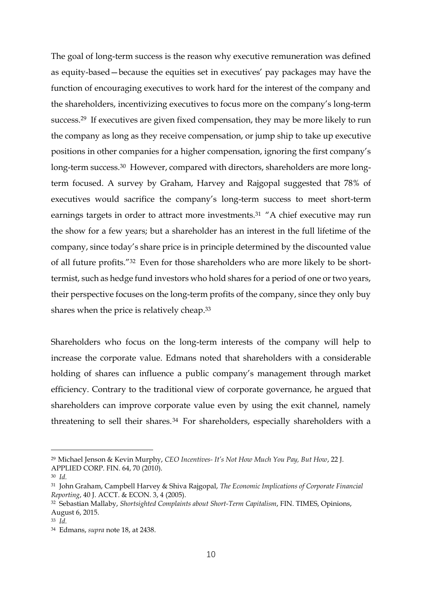The goal of long-term success is the reason why executive remuneration was defined as equity-based—because the equities set in executives' pay packages may have the function of encouraging executives to work hard for the interest of the company and the shareholders, incentivizing executives to focus more on the company's long-term success.<sup>29</sup> If executives are given fixed compensation, they may be more likely to run the company as long as they receive compensation, or jump ship to take up executive positions in other companies for a higher compensation, ignoring the first company's long-term success.<sup>30</sup> However, compared with directors, shareholders are more longterm focused. A survey by Graham, Harvey and Rajgopal suggested that 78% of executives would sacrifice the company's long-term success to meet short-term earnings targets in order to attract more investments.<sup>31</sup> "A chief executive may run the show for a few years; but a shareholder has an interest in the full lifetime of the company, since today's share price is in principle determined by the discounted value of all future profits."<sup>32</sup> Even for those shareholders who are more likely to be shorttermist, such as hedge fund investors who hold shares for a period of one or two years, their perspective focuses on the long-term profits of the company, since they only buy shares when the price is relatively cheap.<sup>33</sup>

Shareholders who focus on the long-term interests of the company will help to increase the corporate value. Edmans noted that shareholders with a considerable holding of shares can influence a public company's management through market efficiency. Contrary to the traditional view of corporate governance, he argued that shareholders can improve corporate value even by using the exit channel, namely threatening to sell their shares.<sup>34</sup> For shareholders, especially shareholders with a

1

<sup>29</sup> Michael Jenson & Kevin Murphy, *CEO Incentives- It's Not How Much You Pay, But How*, 22 J. APPLIED CORP. FIN. 64, 70 (2010).

<sup>30</sup> *Id.*

<sup>31</sup> John Graham, Campbell Harvey & Shiva Rajgopal, *The Economic Implications of Corporate Financial Reporting*, 40 J. ACCT. & ECON. 3, 4 (2005).

<sup>32</sup> Sebastian Mallaby, *Shortsighted Complaints about Short-Term Capitalism*, FIN. TIMES, Opinions, August 6, 2015.

<sup>33</sup> *Id.*

<sup>34</sup> Edmans, *supra* note 18, at 2438.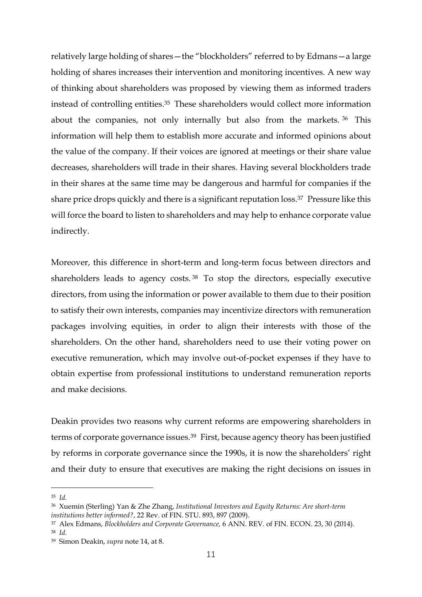relatively large holding of shares—the "blockholders" referred to by Edmans—a large holding of shares increases their intervention and monitoring incentives. A new way of thinking about shareholders was proposed by viewing them as informed traders instead of controlling entities.<sup>35</sup> These shareholders would collect more information about the companies, not only internally but also from the markets. <sup>36</sup> This information will help them to establish more accurate and informed opinions about the value of the company. If their voices are ignored at meetings or their share value decreases, shareholders will trade in their shares. Having several blockholders trade in their shares at the same time may be dangerous and harmful for companies if the share price drops quickly and there is a significant reputation loss. <sup>37</sup> Pressure like this will force the board to listen to shareholders and may help to enhance corporate value indirectly.

Moreover, this difference in short-term and long-term focus between directors and shareholders leads to agency costs. <sup>38</sup> To stop the directors, especially executive directors, from using the information or power available to them due to their position to satisfy their own interests, companies may incentivize directors with remuneration packages involving equities, in order to align their interests with those of the shareholders. On the other hand, shareholders need to use their voting power on executive remuneration, which may involve out-of-pocket expenses if they have to obtain expertise from professional institutions to understand remuneration reports and make decisions.

Deakin provides two reasons why current reforms are empowering shareholders in terms of corporate governance issues. <sup>39</sup> First, because agency theory has been justified by reforms in corporate governance since the 1990s, it is now the shareholders' right and their duty to ensure that executives are making the right decisions on issues in

<sup>35</sup> *Id.* 

<sup>36</sup> Xuemin (Sterling) Yan & Zhe Zhang, *Institutional Investors and Equity Returns: Are short-term institutions better informed?*, 22 Rev. of FIN. STU. 893, 897 (2009).

<sup>37</sup> Alex Edmans, *Blockholders and Corporate Governance,* 6 ANN. REV. of FIN. ECON. 23, 30 (2014).

<sup>38</sup> *Id.*

<sup>39</sup> Simon Deakin, *supra* note 14, at 8.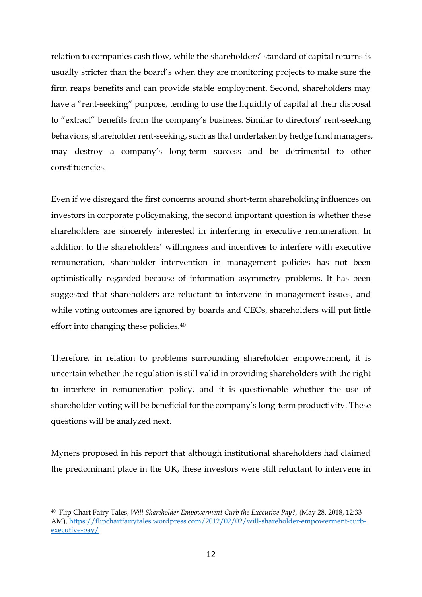relation to companies cash flow, while the shareholders' standard of capital returns is usually stricter than the board's when they are monitoring projects to make sure the firm reaps benefits and can provide stable employment. Second, shareholders may have a "rent-seeking" purpose, tending to use the liquidity of capital at their disposal to "extract" benefits from the company's business. Similar to directors' rent-seeking behaviors, shareholder rent-seeking, such as that undertaken by hedge fund managers, may destroy a company's long-term success and be detrimental to other constituencies.

Even if we disregard the first concerns around short-term shareholding influences on investors in corporate policymaking, the second important question is whether these shareholders are sincerely interested in interfering in executive remuneration. In addition to the shareholders' willingness and incentives to interfere with executive remuneration, shareholder intervention in management policies has not been optimistically regarded because of information asymmetry problems. It has been suggested that shareholders are reluctant to intervene in management issues, and while voting outcomes are ignored by boards and CEOs, shareholders will put little effort into changing these policies.<sup>40</sup>

Therefore, in relation to problems surrounding shareholder empowerment, it is uncertain whether the regulation is still valid in providing shareholders with the right to interfere in remuneration policy, and it is questionable whether the use of shareholder voting will be beneficial for the company's long-term productivity. These questions will be analyzed next.

Myners proposed in his report that although institutional shareholders had claimed the predominant place in the UK, these investors were still reluctant to intervene in

<sup>40</sup> Flip Chart Fairy Tales, *Will Shareholder Empowerment Curb the Executive Pay?,* (May 28, 2018, 12:33 AM)[, https://flipchartfairytales.wordpress.com/2012/02/02/will-shareholder-empowerment-curb](https://flipchartfairytales.wordpress.com/2012/02/02/will-shareholder-empowerment-curb-executive-pay/)[executive-pay/](https://flipchartfairytales.wordpress.com/2012/02/02/will-shareholder-empowerment-curb-executive-pay/)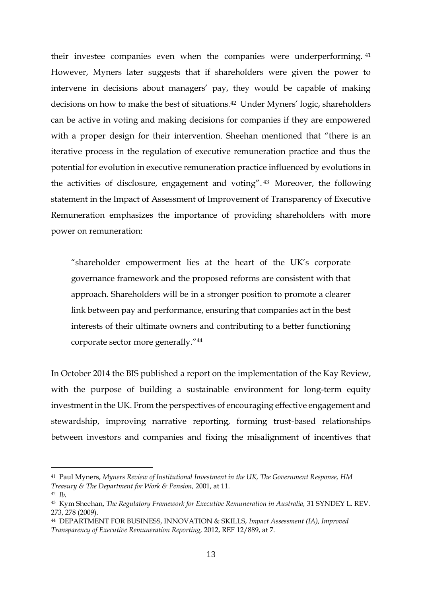their investee companies even when the companies were underperforming. <sup>41</sup> However, Myners later suggests that if shareholders were given the power to intervene in decisions about managers' pay, they would be capable of making decisions on how to make the best of situations.<sup>42</sup> Under Myners' logic, shareholders can be active in voting and making decisions for companies if they are empowered with a proper design for their intervention. Sheehan mentioned that "there is an iterative process in the regulation of executive remuneration practice and thus the potential for evolution in executive remuneration practice influenced by evolutions in the activities of disclosure, engagement and voting". <sup>43</sup> Moreover, the following statement in the Impact of Assessment of Improvement of Transparency of Executive Remuneration emphasizes the importance of providing shareholders with more power on remuneration:

"shareholder empowerment lies at the heart of the UK's corporate governance framework and the proposed reforms are consistent with that approach. Shareholders will be in a stronger position to promote a clearer link between pay and performance, ensuring that companies act in the best interests of their ultimate owners and contributing to a better functioning corporate sector more generally."<sup>44</sup>

In October 2014 the BIS published a report on the implementation of the Kay Review, with the purpose of building a sustainable environment for long-term equity investment in the UK. From the perspectives of encouraging effective engagement and stewardship, improving narrative reporting, forming trust-based relationships between investors and companies and fixing the misalignment of incentives that

<sup>41</sup> Paul Myners, *Myners Review of Institutional Investment in the UK, The Government Response, HM Treasury & The Department for Work & Pension,* 2001, at 11.

<sup>42</sup> *Ib.*

<sup>43</sup> Kym Sheehan, *The Regulatory Framework for Executive Remuneration in Australia,* 31 SYNDEY L. REV. 273, 278 (2009).

<sup>44</sup> DEPARTMENT FOR BUSINESS, INNOVATION & SKILLS, *Impact Assessment (IA), Improved Transparency of Executive Remuneration Reporting,* 2012, REF 12/889, at 7.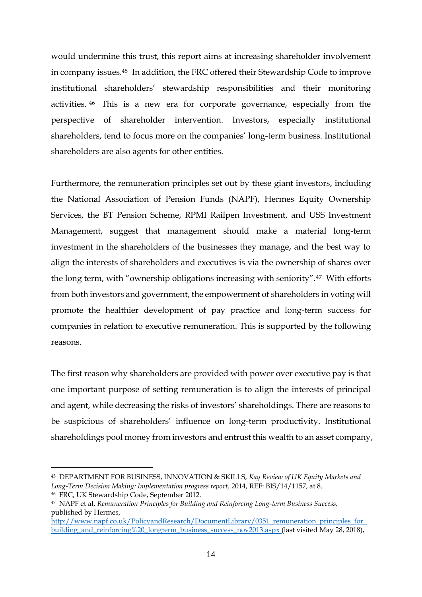would undermine this trust, this report aims at increasing shareholder involvement in company issues.<sup>45</sup> In addition, the FRC offered their Stewardship Code to improve institutional shareholders' stewardship responsibilities and their monitoring activities. <sup>46</sup> This is a new era for corporate governance, especially from the perspective of shareholder intervention. Investors, especially institutional shareholders, tend to focus more on the companies' long-term business. Institutional shareholders are also agents for other entities.

Furthermore, the remuneration principles set out by these giant investors, including the National Association of Pension Funds (NAPF), Hermes Equity Ownership Services, the BT Pension Scheme, RPMI Railpen Investment, and USS Investment Management, suggest that management should make a material long-term investment in the shareholders of the businesses they manage, and the best way to align the interests of shareholders and executives is via the ownership of shares over the long term, with "ownership obligations increasing with seniority".<sup>47</sup> With efforts from both investors and government, the empowerment of shareholders in voting will promote the healthier development of pay practice and long-term success for companies in relation to executive remuneration. This is supported by the following reasons.

The first reason why shareholders are provided with power over executive pay is that one important purpose of setting remuneration is to align the interests of principal and agent, while decreasing the risks of investors' shareholdings. There are reasons to be suspicious of shareholders' influence on long-term productivity. Institutional shareholdings pool money from investors and entrust this wealth to an asset company,

<sup>45</sup> DEPARTMENT FOR BUSINESS, INNOVATION & SKILLS, *Kay Review of UK Equity Markets and Long-Term Decision Making: Implementation progress report,* 2014, REF: BIS/14/1157, at 8.

<sup>46</sup> FRC, UK Stewardship Code, September 2012.

<sup>47</sup> NAPF et al, *Remuneration Principles for Building and Reinforcing Long-term Business Success,*  published by Hermes,

[http://www.napf.co.uk/PolicyandResearch/DocumentLibrary/0351\\_remuneration\\_principles\\_for\\_](http://www.napf.co.uk/PolicyandResearch/DocumentLibrary/0351_remuneration_principles_for_building_and_reinforcing%20_longterm_business_success_nov2013.aspx) building and reinforcing%20 longterm business success nov2013.aspx (last visited May 28, 2018),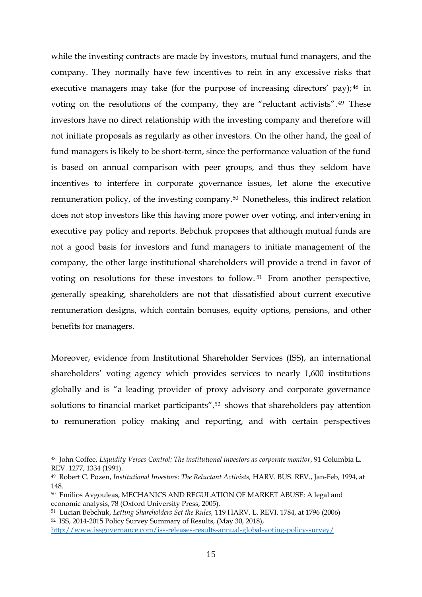while the investing contracts are made by investors, mutual fund managers, and the company. They normally have few incentives to rein in any excessive risks that executive managers may take (for the purpose of increasing directors' pay); <sup>48</sup> in voting on the resolutions of the company, they are "reluctant activists". <sup>49</sup> These investors have no direct relationship with the investing company and therefore will not initiate proposals as regularly as other investors. On the other hand, the goal of fund managers is likely to be short-term, since the performance valuation of the fund is based on annual comparison with peer groups, and thus they seldom have incentives to interfere in corporate governance issues, let alone the executive remuneration policy, of the investing company.<sup>50</sup> Nonetheless, this indirect relation does not stop investors like this having more power over voting, and intervening in executive pay policy and reports. Bebchuk proposes that although mutual funds are not a good basis for investors and fund managers to initiate management of the company, the other large institutional shareholders will provide a trend in favor of voting on resolutions for these investors to follow. <sup>51</sup> From another perspective, generally speaking, shareholders are not that dissatisfied about current executive remuneration designs, which contain bonuses, equity options, pensions, and other benefits for managers.

Moreover, evidence from Institutional Shareholder Services (ISS), an international shareholders' voting agency which provides services to nearly 1,600 institutions globally and is "a leading provider of proxy advisory and corporate governance solutions to financial market participants",<sup>52</sup> shows that shareholders pay attention to remuneration policy making and reporting, and with certain perspectives

1

<sup>48</sup> John Coffee, *Liquidity Verses Control: The institutional investors as corporate monitor*, 91 Columbia L. REV. 1277, 1334 (1991).

<sup>49</sup> Robert C. Pozen, *Institutional Investors: The Reluctant Activists,* HARV. BUS. REV., Jan-Feb, 1994, at 148.

<sup>50</sup> Emilios Avgouleas, MECHANICS AND REGULATION OF MARKET ABUSE: A legal and economic analysis, 78 (Oxford University Press, 2005).

<sup>51</sup> Lucian Bebchuk, *Letting Shareholders Set the Rules,* 119 HARV. L. REVI. 1784, at 1796 (2006) <sup>52</sup> ISS, 2014-2015 Policy Survey Summary of Results, (May 30, 2018),

<http://www.issgovernance.com/iss-releases-results-annual-global-voting-policy-survey/>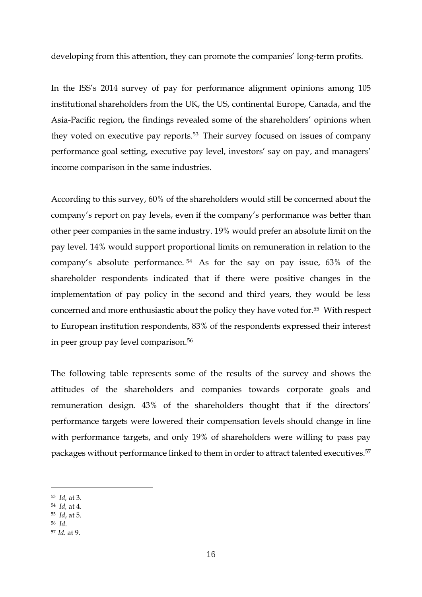developing from this attention, they can promote the companies' long-term profits.

In the ISS's 2014 survey of pay for performance alignment opinions among 105 institutional shareholders from the UK, the US, continental Europe, Canada, and the Asia-Pacific region, the findings revealed some of the shareholders' opinions when they voted on executive pay reports.<sup>53</sup> Their survey focused on issues of company performance goal setting, executive pay level, investors' say on pay, and managers' income comparison in the same industries.

According to this survey, 60% of the shareholders would still be concerned about the company's report on pay levels, even if the company's performance was better than other peer companies in the same industry. 19% would prefer an absolute limit on the pay level. 14% would support proportional limits on remuneration in relation to the company's absolute performance. <sup>54</sup> As for the say on pay issue, 63% of the shareholder respondents indicated that if there were positive changes in the implementation of pay policy in the second and third years, they would be less concerned and more enthusiastic about the policy they have voted for.<sup>55</sup> With respect to European institution respondents, 83% of the respondents expressed their interest in peer group pay level comparison.<sup>56</sup>

The following table represents some of the results of the survey and shows the attitudes of the shareholders and companies towards corporate goals and remuneration design. 43% of the shareholders thought that if the directors' performance targets were lowered their compensation levels should change in line with performance targets, and only 19% of shareholders were willing to pass pay packages without performance linked to them in order to attract talented executives.<sup>57</sup>

- <sup>54</sup> *Id,* at 4.
- <sup>55</sup> *Id*, at 5.
- <sup>56</sup> *Id*.

<sup>53</sup> *Id,* at 3.

<sup>57</sup> *Id*. at 9.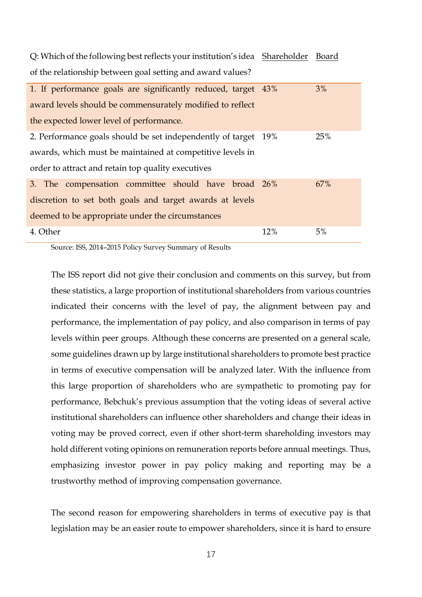| Q: Which of the following best reflects your institution's idea Shareholder Board |     |     |
|-----------------------------------------------------------------------------------|-----|-----|
| of the relationship between goal setting and award values?                        |     |     |
| 1. If performance goals are significantly reduced, target 43%                     |     | 3%  |
| award levels should be commensurately modified to reflect                         |     |     |
| the expected lower level of performance.                                          |     |     |
| 2. Performance goals should be set independently of target 19%                    |     | 25% |
| awards, which must be maintained at competitive levels in                         |     |     |
| order to attract and retain top quality executives                                |     |     |
| 3. The compensation committee should have broad 26%                               |     | 67% |
| discretion to set both goals and target awards at levels                          |     |     |
| deemed to be appropriate under the circumstances                                  |     |     |
| 4. Other                                                                          | 12% | 5%  |

Source: ISS, 2014–2015 Policy Survey Summary of Results

The ISS report did not give their conclusion and comments on this survey, but from these statistics, a large proportion of institutional shareholders from various countries indicated their concerns with the level of pay, the alignment between pay and performance, the implementation of pay policy, and also comparison in terms of pay levels within peer groups. Although these concerns are presented on a general scale, some guidelines drawn up by large institutional shareholders to promote best practice in terms of executive compensation will be analyzed later. With the influence from this large proportion of shareholders who are sympathetic to promoting pay for performance, Bebchuk's previous assumption that the voting ideas of several active institutional shareholders can influence other shareholders and change their ideas in voting may be proved correct, even if other short-term shareholding investors may hold different voting opinions on remuneration reports before annual meetings. Thus, emphasizing investor power in pay policy making and reporting may be a trustworthy method of improving compensation governance.

The second reason for empowering shareholders in terms of executive pay is that legislation may be an easier route to empower shareholders, since it is hard to ensure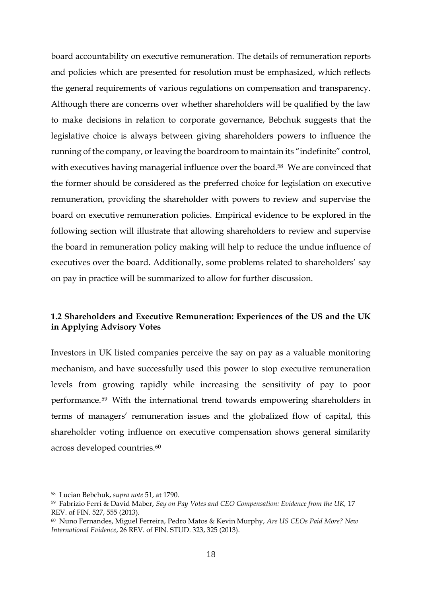board accountability on executive remuneration. The details of remuneration reports and policies which are presented for resolution must be emphasized, which reflects the general requirements of various regulations on compensation and transparency. Although there are concerns over whether shareholders will be qualified by the law to make decisions in relation to corporate governance, Bebchuk suggests that the legislative choice is always between giving shareholders powers to influence the running of the company, or leaving the boardroom to maintain its "indefinite" control, with executives having managerial influence over the board.<sup>58</sup> We are convinced that the former should be considered as the preferred choice for legislation on executive remuneration, providing the shareholder with powers to review and supervise the board on executive remuneration policies. Empirical evidence to be explored in the following section will illustrate that allowing shareholders to review and supervise the board in remuneration policy making will help to reduce the undue influence of executives over the board. Additionally, some problems related to shareholders' say on pay in practice will be summarized to allow for further discussion.

## **1.2 Shareholders and Executive Remuneration: Experiences of the US and the UK in Applying Advisory Votes**

Investors in UK listed companies perceive the say on pay as a valuable monitoring mechanism, and have successfully used this power to stop executive remuneration levels from growing rapidly while increasing the sensitivity of pay to poor performance.<sup>59</sup> With the international trend towards empowering shareholders in terms of managers' remuneration issues and the globalized flow of capital, this shareholder voting influence on executive compensation shows general similarity across developed countries.<sup>60</sup>

<sup>58</sup> Lucian Bebchuk, *supra note* 51, at 1790.

<sup>59</sup> Fabrizio Ferri & David Maber, *Say on Pay Votes and CEO Compensation: Evidence from the UK,* 17 REV. of FIN. 527, 555 (2013).

<sup>60</sup> Nuno Fernandes, Miguel Ferreira, Pedro Matos & Kevin Murphy, *Are US CEOs Paid More? New International Evidence*, 26 REV. of FIN. STUD. 323, 325 (2013).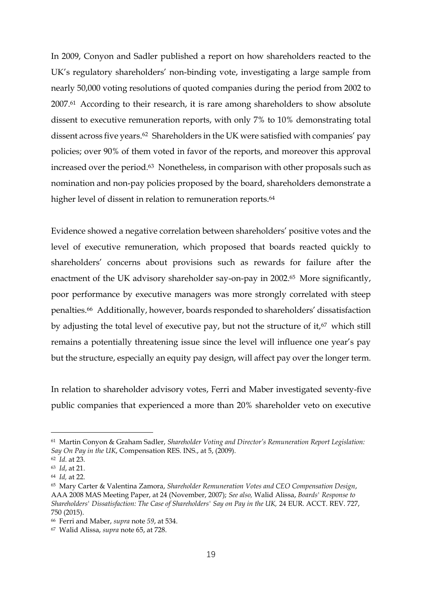In 2009, Conyon and Sadler published a report on how shareholders reacted to the UK's regulatory shareholders' non-binding vote, investigating a large sample from nearly 50,000 voting resolutions of quoted companies during the period from 2002 to 2007.<sup>61</sup> According to their research, it is rare among shareholders to show absolute dissent to executive remuneration reports, with only 7% to 10% demonstrating total dissent across five years.<sup>62</sup> Shareholders in the UK were satisfied with companies' pay policies; over 90% of them voted in favor of the reports, and moreover this approval increased over the period.<sup>63</sup> Nonetheless, in comparison with other proposals such as nomination and non-pay policies proposed by the board, shareholders demonstrate a higher level of dissent in relation to remuneration reports.<sup>64</sup>

Evidence showed a negative correlation between shareholders' positive votes and the level of executive remuneration, which proposed that boards reacted quickly to shareholders' concerns about provisions such as rewards for failure after the enactment of the UK advisory shareholder say-on-pay in 2002. <sup>65</sup> More significantly, poor performance by executive managers was more strongly correlated with steep penalties.<sup>66</sup> Additionally, however, boards responded to shareholders' dissatisfaction by adjusting the total level of executive pay, but not the structure of it,<sup>67</sup> which still remains a potentially threatening issue since the level will influence one year's pay but the structure, especially an equity pay design, will affect pay over the longer term.

In relation to shareholder advisory votes, Ferri and Maber investigated seventy-five public companies that experienced a more than 20% shareholder veto on executive

<sup>61</sup> Martin Conyon & Graham Sadler, *Shareholder Voting and Director's Remuneration Report Legislation: Say On Pay in the UK*, Compensation RES. INS., at 5, (2009).

<sup>62</sup> *Id.* at 23.

<sup>63</sup> *Id*, at 21.

<sup>64</sup> *Id,* at 22.

<sup>65</sup> Mary Carter & Valentina Zamora, *Shareholder Remuneration Votes and CEO Compensation Design*, AAA 2008 MAS Meeting Paper, at 24 (November, 2007); *See also,* Walid Alissa, *Boards' Response to Shareholders' Dissatisfaction: The Case of Shareholders' Say on Pay in the UK,* 24 EUR. ACCT. REV. 727, 750 (2015).

<sup>66</sup> Ferri and Maber, *supra* note *59*, at 534.

<sup>67</sup> Walid Alissa, *supra* note 65, at 728.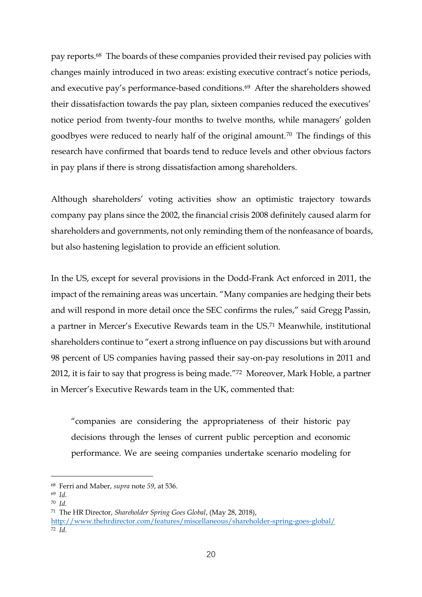pay reports.<sup>68</sup> The boards of these companies provided their revised pay policies with changes mainly introduced in two areas: existing executive contract's notice periods, and executive pay's performance-based conditions.<sup>69</sup> After the shareholders showed their dissatisfaction towards the pay plan, sixteen companies reduced the executives' notice period from twenty-four months to twelve months, while managers' golden goodbyes were reduced to nearly half of the original amount.<sup>70</sup> The findings of this research have confirmed that boards tend to reduce levels and other obvious factors in pay plans if there is strong dissatisfaction among shareholders.

Although shareholders' voting activities show an optimistic trajectory towards company pay plans since the 2002, the financial crisis 2008 definitely caused alarm for shareholders and governments, not only reminding them of the nonfeasance of boards, but also hastening legislation to provide an efficient solution.

In the US, except for several provisions in the Dodd-Frank Act enforced in 2011, the impact of the remaining areas was uncertain. "Many companies are hedging their bets and will respond in more detail once the SEC confirms the rules," said Gregg Passin, a partner in Mercer's Executive Rewards team in the US.<sup>71</sup> Meanwhile, institutional shareholders continue to "exert a strong influence on pay discussions but with around 98 percent of US companies having passed their say-on-pay resolutions in 2011 and 2012, it is fair to say that progress is being made."<sup>72</sup> Moreover, Mark Hoble, a partner in Mercer's Executive Rewards team in the UK, commented that:

"companies are considering the appropriateness of their historic pay decisions through the lenses of current public perception and economic performance. We are seeing companies undertake scenario modeling for

<sup>68</sup> Ferri and Maber, *supra* note *59*, at 536.

<sup>69</sup> *Id.*

<sup>70</sup> *Id.*

<sup>71</sup> The HR Director, *Shareholder Spring Goes Global*, (May 28, 2018),

<http://www.thehrdirector.com/features/miscellaneous/shareholder-spring-goes-global/> <sup>72</sup> *Id.*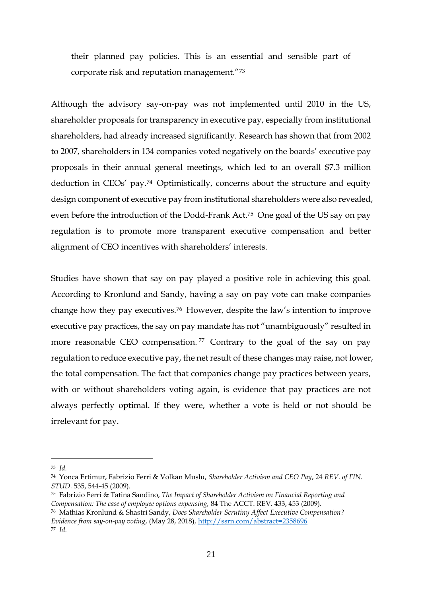their planned pay policies. This is an essential and sensible part of corporate risk and reputation management."<sup>73</sup>

Although the advisory say-on-pay was not implemented until 2010 in the US, shareholder proposals for transparency in executive pay, especially from institutional shareholders, had already increased significantly. Research has shown that from 2002 to 2007, shareholders in 134 companies voted negatively on the boards' executive pay proposals in their annual general meetings, which led to an overall \$7.3 million deduction in CEOs' pay. <sup>74</sup> Optimistically, concerns about the structure and equity design component of executive pay from institutional shareholders were also revealed, even before the introduction of the Dodd-Frank Act.<sup>75</sup> One goal of the US say on pay regulation is to promote more transparent executive compensation and better alignment of CEO incentives with shareholders' interests.

Studies have shown that say on pay played a positive role in achieving this goal. According to Kronlund and Sandy, having a say on pay vote can make companies change how they pay executives.<sup>76</sup> However, despite the law's intention to improve executive pay practices, the say on pay mandate has not "unambiguously" resulted in more reasonable CEO compensation.<sup>77</sup> Contrary to the goal of the say on pay regulation to reduce executive pay, the net result of these changes may raise, not lower, the total compensation. The fact that companies change pay practices between years, with or without shareholders voting again, is evidence that pay practices are not always perfectly optimal. If they were, whether a vote is held or not should be irrelevant for pay.

1

<sup>73</sup> *Id.*

<sup>74</sup> Yonca Ertimur, Fabrizio Ferri & Volkan Muslu, *Shareholder Activism and CEO Pay*, 24 *REV. of FIN. STUD.* 535, 544-45 (2009).

<sup>75</sup> Fabrizio Ferri & Tatina Sandino, *The Impact of Shareholder Activism on Financial Reporting and Compensation: The case of employee options expensing,* 84 The ACCT. REV. 433, 453 (2009).

<sup>76</sup> Mathias Kronlund & Shastri Sandy, *Does Shareholder Scrutiny Affect Executive Compensation? Evidence from say-on-pay voting*, (May 28, 2018),<http://ssrn.com/abstract=2358696>

<sup>77</sup> *Id.*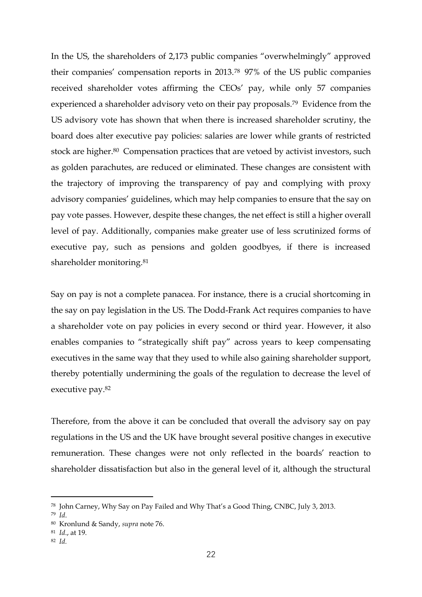In the US, the shareholders of 2,173 public companies "overwhelmingly" approved their companies' compensation reports in 2013.<sup>78</sup> 97% of the US public companies received shareholder votes affirming the CEOs' pay, while only 57 companies experienced a shareholder advisory veto on their pay proposals.<sup>79</sup> Evidence from the US advisory vote has shown that when there is increased shareholder scrutiny, the board does alter executive pay policies: salaries are lower while grants of restricted stock are higher.<sup>80</sup> Compensation practices that are vetoed by activist investors, such as golden parachutes, are reduced or eliminated. These changes are consistent with the trajectory of improving the transparency of pay and complying with proxy advisory companies' guidelines, which may help companies to ensure that the say on pay vote passes. However, despite these changes, the net effect is still a higher overall level of pay. Additionally, companies make greater use of less scrutinized forms of executive pay, such as pensions and golden goodbyes, if there is increased shareholder monitoring.<sup>81</sup>

Say on pay is not a complete panacea. For instance, there is a crucial shortcoming in the say on pay legislation in the US. The Dodd-Frank Act requires companies to have a shareholder vote on pay policies in every second or third year. However, it also enables companies to "strategically shift pay" across years to keep compensating executives in the same way that they used to while also gaining shareholder support, thereby potentially undermining the goals of the regulation to decrease the level of executive pay.<sup>82</sup>

Therefore, from the above it can be concluded that overall the advisory say on pay regulations in the US and the UK have brought several positive changes in executive remuneration. These changes were not only reflected in the boards' reaction to shareholder dissatisfaction but also in the general level of it, although the structural

<u>.</u>

<sup>81</sup> *Id*., at 19.

<sup>78</sup> John Carney, Why Say on Pay Failed and Why That's a Good Thing, CNBC, July 3, 2013.

<sup>79</sup> *Id*.

<sup>80</sup> Kronlund & Sandy, *supra* note 76.

<sup>82</sup> *Id.*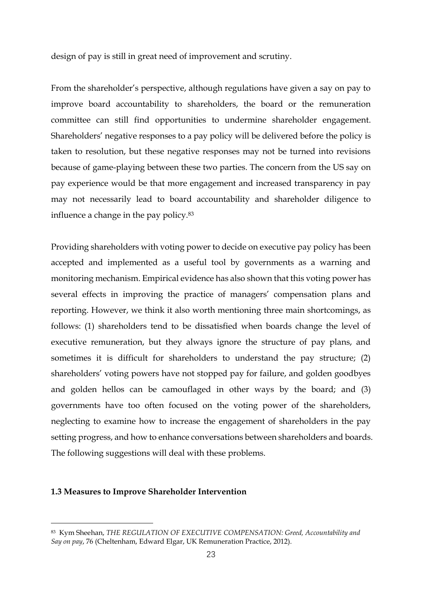design of pay is still in great need of improvement and scrutiny.

From the shareholder's perspective, although regulations have given a say on pay to improve board accountability to shareholders, the board or the remuneration committee can still find opportunities to undermine shareholder engagement. Shareholders' negative responses to a pay policy will be delivered before the policy is taken to resolution, but these negative responses may not be turned into revisions because of game-playing between these two parties. The concern from the US say on pay experience would be that more engagement and increased transparency in pay may not necessarily lead to board accountability and shareholder diligence to influence a change in the pay policy.<sup>83</sup>

Providing shareholders with voting power to decide on executive pay policy has been accepted and implemented as a useful tool by governments as a warning and monitoring mechanism. Empirical evidence has also shown that this voting power has several effects in improving the practice of managers' compensation plans and reporting. However, we think it also worth mentioning three main shortcomings, as follows: (1) shareholders tend to be dissatisfied when boards change the level of executive remuneration, but they always ignore the structure of pay plans, and sometimes it is difficult for shareholders to understand the pay structure; (2) shareholders' voting powers have not stopped pay for failure, and golden goodbyes and golden hellos can be camouflaged in other ways by the board; and (3) governments have too often focused on the voting power of the shareholders, neglecting to examine how to increase the engagement of shareholders in the pay setting progress, and how to enhance conversations between shareholders and boards. The following suggestions will deal with these problems.

#### **1.3 Measures to Improve Shareholder Intervention**

<sup>83</sup> Kym Sheehan, *THE REGULATION OF EXECUTIVE COMPENSATION: Greed, Accountability and Say on pay*, 76 (Cheltenham, Edward Elgar, UK Remuneration Practice, 2012).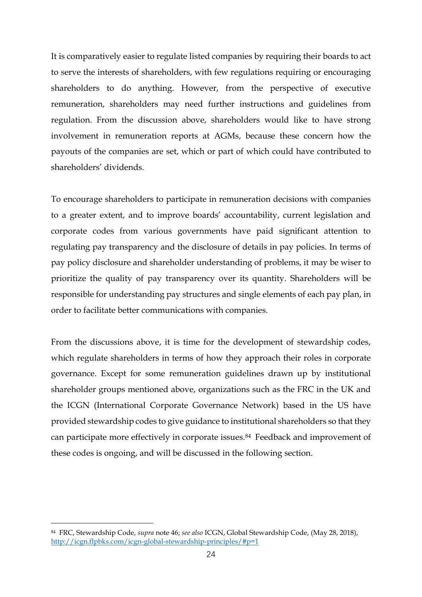It is comparatively easier to regulate listed companies by requiring their boards to act to serve the interests of shareholders, with few regulations requiring or encouraging shareholders to do anything. However, from the perspective of executive remuneration, shareholders may need further instructions and guidelines from regulation. From the discussion above, shareholders would like to have strong involvement in remuneration reports at AGMs, because these concern how the payouts of the companies are set, which or part of which could have contributed to shareholders' dividends.

To encourage shareholders to participate in remuneration decisions with companies to a greater extent, and to improve boards' accountability, current legislation and corporate codes from various governments have paid significant attention to regulating pay transparency and the disclosure of details in pay policies. In terms of pay policy disclosure and shareholder understanding of problems, it may be wiser to prioritize the quality of pay transparency over its quantity. Shareholders will be responsible for understanding pay structures and single elements of each pay plan, in order to facilitate better communications with companies.

From the discussions above, it is time for the development of stewardship codes, which regulate shareholders in terms of how they approach their roles in corporate governance. Except for some remuneration guidelines drawn up by institutional shareholder groups mentioned above, organizations such as the FRC in the UK and the ICGN (International Corporate Governance Network) based in the US have provided stewardship codes to give guidance to institutional shareholders so that they can participate more effectively in corporate issues.<sup>84</sup> Feedback and improvement of these codes is ongoing, and will be discussed in the following section.

<sup>84</sup> FRC, Stewardship Code, *supra* note 46; *see also* ICGN, Global Stewardship Code, (May 28, 2018), <http://icgn.flpbks.com/icgn-global-stewardship-principles/#p=1>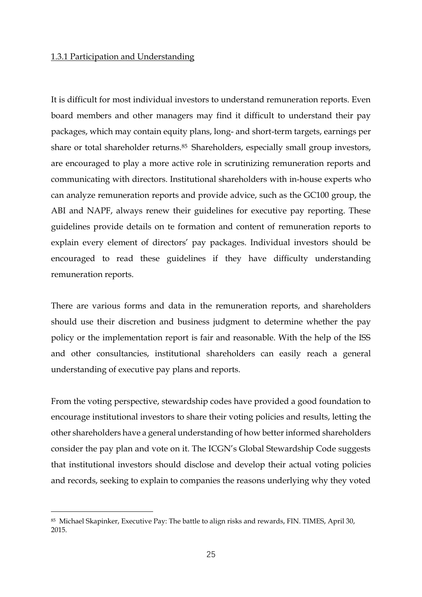#### 1.3.1 Participation and Understanding

It is difficult for most individual investors to understand remuneration reports. Even board members and other managers may find it difficult to understand their pay packages, which may contain equity plans, long- and short-term targets, earnings per share or total shareholder returns.<sup>85</sup> Shareholders, especially small group investors, are encouraged to play a more active role in scrutinizing remuneration reports and communicating with directors. Institutional shareholders with in-house experts who can analyze remuneration reports and provide advice, such as the GC100 group, the ABI and NAPF, always renew their guidelines for executive pay reporting. These guidelines provide details on te formation and content of remuneration reports to explain every element of directors' pay packages. Individual investors should be encouraged to read these guidelines if they have difficulty understanding remuneration reports.

There are various forms and data in the remuneration reports, and shareholders should use their discretion and business judgment to determine whether the pay policy or the implementation report is fair and reasonable. With the help of the ISS and other consultancies, institutional shareholders can easily reach a general understanding of executive pay plans and reports.

From the voting perspective, stewardship codes have provided a good foundation to encourage institutional investors to share their voting policies and results, letting the other shareholders have a general understanding of how better informed shareholders consider the pay plan and vote on it. The ICGN's Global Stewardship Code suggests that institutional investors should disclose and develop their actual voting policies and records, seeking to explain to companies the reasons underlying why they voted

<sup>85</sup> Michael Skapinker, Executive Pay: The battle to align risks and rewards, FIN. TIMES, April 30, 2015.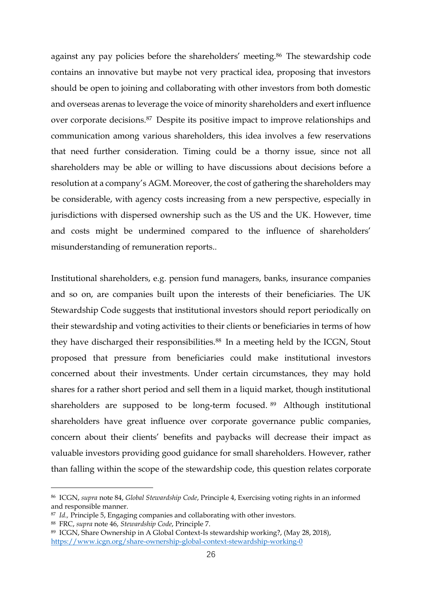against any pay policies before the shareholders' meeting.<sup>86</sup> The stewardship code contains an innovative but maybe not very practical idea, proposing that investors should be open to joining and collaborating with other investors from both domestic and overseas arenas to leverage the voice of minority shareholders and exert influence over corporate decisions.<sup>87</sup> Despite its positive impact to improve relationships and communication among various shareholders, this idea involves a few reservations that need further consideration. Timing could be a thorny issue, since not all shareholders may be able or willing to have discussions about decisions before a resolution at a company's AGM. Moreover, the cost of gathering the shareholders may be considerable, with agency costs increasing from a new perspective, especially in jurisdictions with dispersed ownership such as the US and the UK. However, time and costs might be undermined compared to the influence of shareholders' misunderstanding of remuneration reports..

Institutional shareholders, e.g. pension fund managers, banks, insurance companies and so on, are companies built upon the interests of their beneficiaries. The UK Stewardship Code suggests that institutional investors should report periodically on their stewardship and voting activities to their clients or beneficiaries in terms of how they have discharged their responsibilities.<sup>88</sup> In a meeting held by the ICGN, Stout proposed that pressure from beneficiaries could make institutional investors concerned about their investments. Under certain circumstances, they may hold shares for a rather short period and sell them in a liquid market, though institutional shareholders are supposed to be long-term focused. <sup>89</sup> Although institutional shareholders have great influence over corporate governance public companies, concern about their clients' benefits and paybacks will decrease their impact as valuable investors providing good guidance for small shareholders. However, rather than falling within the scope of the stewardship code, this question relates corporate

<sup>86</sup> ICGN, *supra* note 84, *Global Stewardship Code*, Principle 4, Exercising voting rights in an informed and responsible manner.

<sup>87</sup> *Id.,* Principle 5, Engaging companies and collaborating with other investors.

<sup>88</sup> FRC, *supra* note 46, *Stewardship Code*, Principle 7.

<sup>89</sup> ICGN, Share Ownership in A Global Context-Is stewardship working?, (May 28, 2018), <https://www.icgn.org/share-ownership-global-context-stewardship-working-0>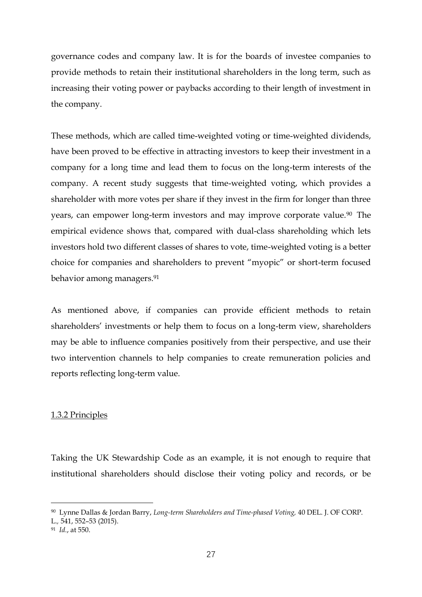governance codes and company law. It is for the boards of investee companies to provide methods to retain their institutional shareholders in the long term, such as increasing their voting power or paybacks according to their length of investment in the company.

These methods, which are called time-weighted voting or time-weighted dividends, have been proved to be effective in attracting investors to keep their investment in a company for a long time and lead them to focus on the long-term interests of the company. A recent study suggests that time-weighted voting, which provides a shareholder with more votes per share if they invest in the firm for longer than three years, can empower long-term investors and may improve corporate value.<sup>90</sup> The empirical evidence shows that, compared with dual-class shareholding which lets investors hold two different classes of shares to vote, time-weighted voting is a better choice for companies and shareholders to prevent "myopic" or short-term focused behavior among managers.<sup>91</sup>

As mentioned above, if companies can provide efficient methods to retain shareholders' investments or help them to focus on a long-term view, shareholders may be able to influence companies positively from their perspective, and use their two intervention channels to help companies to create remuneration policies and reports reflecting long-term value.

#### 1.3.2 Principles

Taking the UK Stewardship Code as an example, it is not enough to require that institutional shareholders should disclose their voting policy and records, or be

<sup>90</sup> Lynne Dallas & Jordan Barry, *Long-term Shareholders and Time-phased Voting,* 40 DEL. J. OF CORP.

L.*,* 541, 552–53 (2015).

<sup>91</sup> *Id.*, at 550.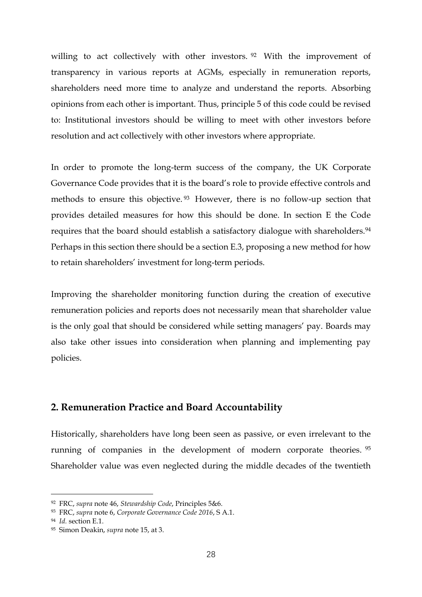willing to act collectively with other investors. <sup>92</sup> With the improvement of transparency in various reports at AGMs, especially in remuneration reports, shareholders need more time to analyze and understand the reports. Absorbing opinions from each other is important. Thus, principle 5 of this code could be revised to: Institutional investors should be willing to meet with other investors before resolution and act collectively with other investors where appropriate.

In order to promote the long-term success of the company, the UK Corporate Governance Code provides that it is the board's role to provide effective controls and methods to ensure this objective. <sup>93</sup> However, there is no follow-up section that provides detailed measures for how this should be done. In section E the Code requires that the board should establish a satisfactory dialogue with shareholders.<sup>94</sup> Perhaps in this section there should be a section E.3, proposing a new method for how to retain shareholders' investment for long-term periods.

Improving the shareholder monitoring function during the creation of executive remuneration policies and reports does not necessarily mean that shareholder value is the only goal that should be considered while setting managers' pay. Boards may also take other issues into consideration when planning and implementing pay policies.

## **2. Remuneration Practice and Board Accountability**

Historically, shareholders have long been seen as passive, or even irrelevant to the running of companies in the development of modern corporate theories. 95 Shareholder value was even neglected during the middle decades of the twentieth

<sup>92</sup> FRC, *supra* note 46, *Stewardship Code*, Principles 5&6.

<sup>93</sup> FRC, *supra* note 6, *Corporate Governance Code 2016*, S A.1.

<sup>94</sup> *Id.* section E.1.

<sup>95</sup> Simon Deakin, *supra* note 15, at 3.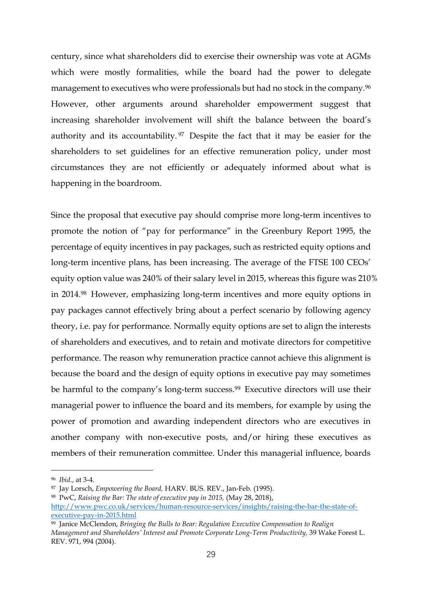century, since what shareholders did to exercise their ownership was vote at AGMs which were mostly formalities, while the board had the power to delegate management to executives who were professionals but had no stock in the company.<sup>96</sup> However, other arguments around shareholder empowerment suggest that increasing shareholder involvement will shift the balance between the board's authority and its accountability. <sup>97</sup> Despite the fact that it may be easier for the shareholders to set guidelines for an effective remuneration policy, under most circumstances they are not efficiently or adequately informed about what is happening in the boardroom.

Since the proposal that executive pay should comprise more long-term incentives to promote the notion of "pay for performance" in the Greenbury Report 1995, the percentage of equity incentives in pay packages, such as restricted equity options and long-term incentive plans, has been increasing. The average of the FTSE 100 CEOs' equity option value was 240% of their salary level in 2015, whereas this figure was 210% in 2014. <sup>98</sup> However, emphasizing long-term incentives and more equity options in pay packages cannot effectively bring about a perfect scenario by following agency theory, i.e. pay for performance. Normally equity options are set to align the interests of shareholders and executives, and to retain and motivate directors for competitive performance. The reason why remuneration practice cannot achieve this alignment is because the board and the design of equity options in executive pay may sometimes be harmful to the company's long-term success.<sup>99</sup> Executive directors will use their managerial power to influence the board and its members, for example by using the power of promotion and awarding independent directors who are executives in another company with non-executive posts, and/or hiring these executives as members of their remuneration committee. Under this managerial influence, boards

<sup>96</sup> *Ibid*., at 3-4.

<sup>97</sup> Jay Lorsch, *Empowering the Board,* HARV. BUS. REV., Jan-Feb. (1995).

<sup>98</sup> PwC, *Raising the Bar: The state of executive pay in 2015,* (May 28, 2018),

[http://www.pwc.co.uk/services/human-resource-services/insights/raising-the-bar-the-state-of](http://www.pwc.co.uk/services/human-resource-services/insights/raising-the-bar-the-state-of-executive-pay-in-2015.html)[executive-pay-in-2015.html](http://www.pwc.co.uk/services/human-resource-services/insights/raising-the-bar-the-state-of-executive-pay-in-2015.html)

<sup>99</sup> Janice McClendon, *Bringing the Bulls to Bear: Regulation Executive Compensation to Realign Management and Shareholders' Interest and Promote Corporate Long-Term Productivity,* 39 Wake Forest L. REV. 971, 994 (2004).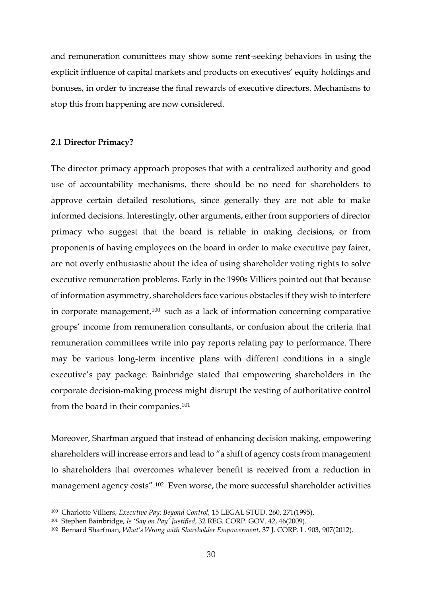and remuneration committees may show some rent-seeking behaviors in using the explicit influence of capital markets and products on executives' equity holdings and bonuses, in order to increase the final rewards of executive directors. Mechanisms to stop this from happening are now considered.

#### **2.1 Director Primacy?**

<u>.</u>

The director primacy approach proposes that with a centralized authority and good use of accountability mechanisms, there should be no need for shareholders to approve certain detailed resolutions, since generally they are not able to make informed decisions. Interestingly, other arguments, either from supporters of director primacy who suggest that the board is reliable in making decisions, or from proponents of having employees on the board in order to make executive pay fairer, are not overly enthusiastic about the idea of using shareholder voting rights to solve executive remuneration problems. Early in the 1990s Villiers pointed out that because of information asymmetry, shareholders face various obstacles if they wish to interfere in corporate management,<sup>100</sup> such as a lack of information concerning comparative groups' income from remuneration consultants, or confusion about the criteria that remuneration committees write into pay reports relating pay to performance. There may be various long-term incentive plans with different conditions in a single executive's pay package. Bainbridge stated that empowering shareholders in the corporate decision-making process might disrupt the vesting of authoritative control from the board in their companies.<sup>101</sup>

Moreover, Sharfman argued that instead of enhancing decision making, empowering shareholders will increase errors and lead to "a shift of agency costs from management to shareholders that overcomes whatever benefit is received from a reduction in management agency costs".<sup>102</sup> Even worse, the more successful shareholder activities

<sup>100</sup> Charlotte Villiers, *Executive Pay: Beyond Control,* 15 LEGAL STUD. 260, 271(1995).

<sup>101</sup> Stephen Bainbridge, *Is 'Say on Pay' Justified*, 32 REG. CORP. GOV. 42, 46(2009).

<sup>102</sup> Bernard Sharfman, *What's Wrong with Shareholder Empowerment,* 37 J. CORP. L. 903, 907(2012).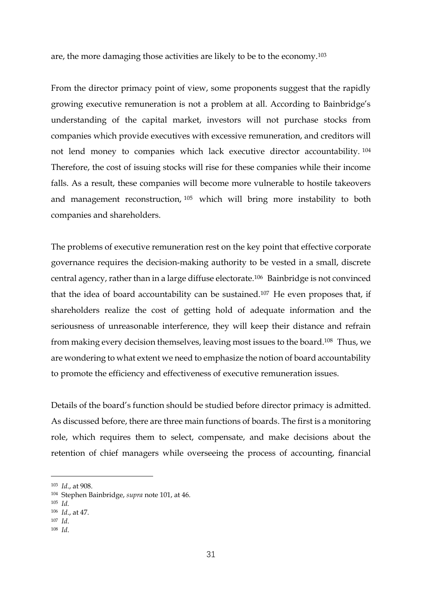are, the more damaging those activities are likely to be to the economy.<sup>103</sup>

From the director primacy point of view, some proponents suggest that the rapidly growing executive remuneration is not a problem at all. According to Bainbridge's understanding of the capital market, investors will not purchase stocks from companies which provide executives with excessive remuneration, and creditors will not lend money to companies which lack executive director accountability. <sup>104</sup> Therefore, the cost of issuing stocks will rise for these companies while their income falls. As a result, these companies will become more vulnerable to hostile takeovers and management reconstruction, <sup>105</sup> which will bring more instability to both companies and shareholders.

The problems of executive remuneration rest on the key point that effective corporate governance requires the decision-making authority to be vested in a small, discrete central agency, rather than in a large diffuse electorate.<sup>106</sup> Bainbridge is not convinced that the idea of board accountability can be sustained. <sup>107</sup> He even proposes that, if shareholders realize the cost of getting hold of adequate information and the seriousness of unreasonable interference, they will keep their distance and refrain from making every decision themselves, leaving most issues to the board.<sup>108</sup> Thus, we are wondering to what extent we need to emphasize the notion of board accountability to promote the efficiency and effectiveness of executive remuneration issues.

Details of the board's function should be studied before director primacy is admitted. As discussed before, there are three main functions of boards. The first is a monitoring role, which requires them to select, compensate, and make decisions about the retention of chief managers while overseeing the process of accounting, financial

<sup>103</sup> *Id*., at 908.

<sup>104</sup> Stephen Bainbridge, *supra* note 101, at 46.

<sup>105</sup> *Id.*

<sup>106</sup> *Id*., at 47.

<sup>107</sup> *Id*.

<sup>108</sup> *Id*.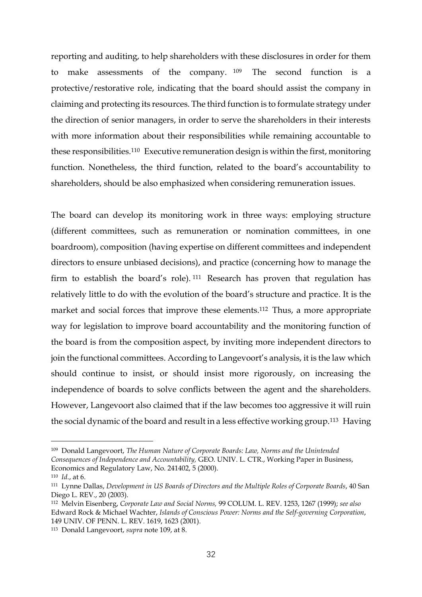reporting and auditing, to help shareholders with these disclosures in order for them to make assessments of the company. <sup>109</sup> The second function is a protective/restorative role, indicating that the board should assist the company in claiming and protecting its resources. The third function is to formulate strategy under the direction of senior managers, in order to serve the shareholders in their interests with more information about their responsibilities while remaining accountable to these responsibilities. <sup>110</sup> Executive remuneration design is within the first, monitoring function. Nonetheless, the third function, related to the board's accountability to shareholders, should be also emphasized when considering remuneration issues.

The board can develop its monitoring work in three ways: employing structure (different committees, such as remuneration or nomination committees, in one boardroom), composition (having expertise on different committees and independent directors to ensure unbiased decisions), and practice (concerning how to manage the firm to establish the board's role). <sup>111</sup> Research has proven that regulation has relatively little to do with the evolution of the board's structure and practice. It is the market and social forces that improve these elements.<sup>112</sup> Thus, a more appropriate way for legislation to improve board accountability and the monitoring function of the board is from the composition aspect, by inviting more independent directors to join the functional committees. According to Langevoort's analysis, it is the law which should continue to insist, or should insist more rigorously, on increasing the independence of boards to solve conflicts between the agent and the shareholders. However, Langevoort also claimed that if the law becomes too aggressive it will ruin the social dynamic of the board and result in a less effective working group.<sup>113</sup> Having

<u>.</u>

<sup>113</sup> Donald Langevoort, *supra* note 109, at 8.

<sup>109</sup> Donald Langevoort, *The Human Nature of Corporate Boards: Law, Norms and the Unintended Consequences of Independence and Accountability,* GEO. UNIV. L. CTR., Working Paper in Business, Economics and Regulatory Law, No. 241402, 5 (2000).

<sup>110</sup> *Id.*, at 6.

<sup>111</sup> Lynne Dallas, *Development in US Boards of Directors and the Multiple Roles of Corporate Boards*, 40 San Diego L. REV., 20 (2003).

<sup>112</sup> Melvin Eisenberg, *Corporate Law and Social Norms,* 99 COLUM. L. REV. 1253, 1267 (1999); *see also*  Edward Rock & Michael Wachter, *Islands of Conscious Power: Norms and the Self-governing Corporation*, 149 UNIV. OF PENN. L. REV. 1619, 1623 (2001).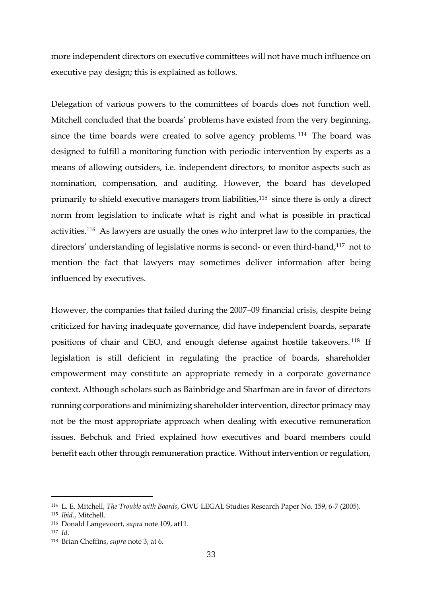more independent directors on executive committees will not have much influence on executive pay design; this is explained as follows.

Delegation of various powers to the committees of boards does not function well. Mitchell concluded that the boards' problems have existed from the very beginning, since the time boards were created to solve agency problems. <sup>114</sup> The board was designed to fulfill a monitoring function with periodic intervention by experts as a means of allowing outsiders, i.e. independent directors, to monitor aspects such as nomination, compensation, and auditing. However, the board has developed primarily to shield executive managers from liabilities,<sup>115</sup> since there is only a direct norm from legislation to indicate what is right and what is possible in practical activities.<sup>116</sup> As lawyers are usually the ones who interpret law to the companies, the directors' understanding of legislative norms is second- or even third-hand,<sup>117</sup> not to mention the fact that lawyers may sometimes deliver information after being influenced by executives.

However, the companies that failed during the 2007–09 financial crisis, despite being criticized for having inadequate governance, did have independent boards, separate positions of chair and CEO, and enough defense against hostile takeovers. <sup>118</sup> If legislation is still deficient in regulating the practice of boards, shareholder empowerment may constitute an appropriate remedy in a corporate governance context. Although scholars such as Bainbridge and Sharfman are in favor of directors running corporations and minimizing shareholder intervention, director primacy may not be the most appropriate approach when dealing with executive remuneration issues. Bebchuk and Fried explained how executives and board members could benefit each other through remuneration practice. Without intervention or regulation,

<sup>114</sup> L. E. Mitchell, *The Trouble with Boards*, GWU LEGAL Studies Research Paper No. 159, 6-7 (2005).

<sup>115</sup> *Ibid.*, Mitchell.

<sup>116</sup> Donald Langevoort, *supra* note 109, at11.

<sup>117</sup> *Id*.

<sup>118</sup> Brian Cheffins, *supra* note 3, at 6.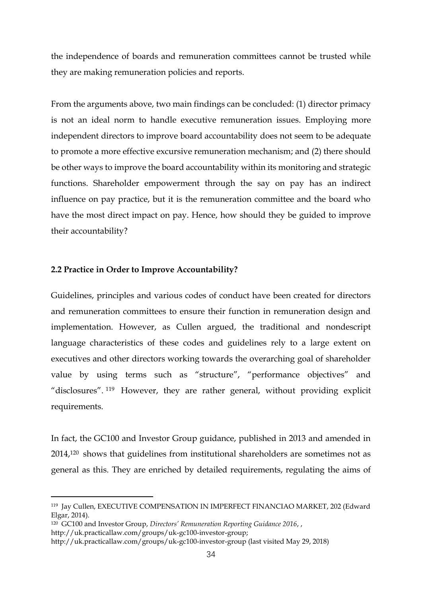the independence of boards and remuneration committees cannot be trusted while they are making remuneration policies and reports.

From the arguments above, two main findings can be concluded: (1) director primacy is not an ideal norm to handle executive remuneration issues. Employing more independent directors to improve board accountability does not seem to be adequate to promote a more effective excursive remuneration mechanism; and (2) there should be other ways to improve the board accountability within its monitoring and strategic functions. Shareholder empowerment through the say on pay has an indirect influence on pay practice, but it is the remuneration committee and the board who have the most direct impact on pay. Hence, how should they be guided to improve their accountability?

#### **2.2 Practice in Order to Improve Accountability?**

Guidelines, principles and various codes of conduct have been created for directors and remuneration committees to ensure their function in remuneration design and implementation. However, as Cullen argued, the traditional and nondescript language characteristics of these codes and guidelines rely to a large extent on executives and other directors working towards the overarching goal of shareholder value by using terms such as "structure", "performance objectives" and "disclosures". <sup>119</sup> However, they are rather general, without providing explicit requirements.

In fact, the GC100 and Investor Group guidance, published in 2013 and amended in 2014,<sup>120</sup> shows that guidelines from institutional shareholders are sometimes not as general as this. They are enriched by detailed requirements, regulating the aims of

<sup>119</sup> Jay Cullen, EXECUTIVE COMPENSATION IN IMPERFECT FINANCIAO MARKET, 202 (Edward Elgar, 2014).

<sup>120</sup> GC100 and Investor Group, *Directors' Remuneration Reporting Guidance 2016*, ,

[http://uk.practicallaw.com/groups/uk-gc100-investor-group;](http://uk.practicallaw.com/groups/uk-gc100-investor-group)

<http://uk.practicallaw.com/groups/uk-gc100-investor-group> (last visited May 29, 2018)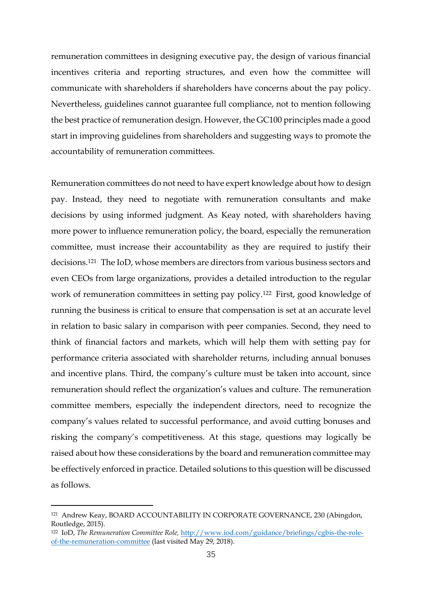remuneration committees in designing executive pay, the design of various financial incentives criteria and reporting structures, and even how the committee will communicate with shareholders if shareholders have concerns about the pay policy. Nevertheless, guidelines cannot guarantee full compliance, not to mention following the best practice of remuneration design. However, the GC100 principles made a good start in improving guidelines from shareholders and suggesting ways to promote the accountability of remuneration committees.

Remuneration committees do not need to have expert knowledge about how to design pay. Instead, they need to negotiate with remuneration consultants and make decisions by using informed judgment. As Keay noted, with shareholders having more power to influence remuneration policy, the board, especially the remuneration committee, must increase their accountability as they are required to justify their decisions.<sup>121</sup> The IoD, whose members are directors from various business sectors and even CEOs from large organizations, provides a detailed introduction to the regular work of remuneration committees in setting pay policy.<sup>122</sup> First, good knowledge of running the business is critical to ensure that compensation is set at an accurate level in relation to basic salary in comparison with peer companies. Second, they need to think of financial factors and markets, which will help them with setting pay for performance criteria associated with shareholder returns, including annual bonuses and incentive plans. Third, the company's culture must be taken into account, since remuneration should reflect the organization's values and culture. The remuneration committee members, especially the independent directors, need to recognize the company's values related to successful performance, and avoid cutting bonuses and risking the company's competitiveness. At this stage, questions may logically be raised about how these considerations by the board and remuneration committee may be effectively enforced in practice. Detailed solutions to this question will be discussed as follows.

<sup>121</sup> Andrew Keay, BOARD ACCOUNTABILITY IN CORPORATE GOVERNANCE, 230 (Abingdon, Routledge, 2015).

<sup>122</sup> IoD, *The Remuneration Committee Role,* [http://www.iod.com/guidance/briefings/cgbis-the-role](http://www.iod.com/guidance/briefings/cgbis-the-role-of-the-remuneration-committee)[of-the-remuneration-committee](http://www.iod.com/guidance/briefings/cgbis-the-role-of-the-remuneration-committee) (last visited May 29, 2018).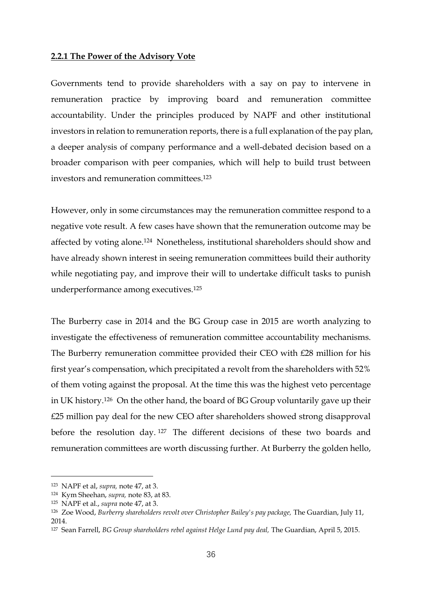#### **2.2.1 The Power of the Advisory Vote**

Governments tend to provide shareholders with a say on pay to intervene in remuneration practice by improving board and remuneration committee accountability. Under the principles produced by NAPF and other institutional investors in relation to remuneration reports, there is a full explanation of the pay plan, a deeper analysis of company performance and a well-debated decision based on a broader comparison with peer companies, which will help to build trust between investors and remuneration committees. 123

However, only in some circumstances may the remuneration committee respond to a negative vote result. A few cases have shown that the remuneration outcome may be affected by voting alone.<sup>124</sup> Nonetheless, institutional shareholders should show and have already shown interest in seeing remuneration committees build their authority while negotiating pay, and improve their will to undertake difficult tasks to punish underperformance among executives.<sup>125</sup>

The Burberry case in 2014 and the BG Group case in 2015 are worth analyzing to investigate the effectiveness of remuneration committee accountability mechanisms. The Burberry remuneration committee provided their CEO with £28 million for his first year's compensation, which precipitated a revolt from the shareholders with 52% of them voting against the proposal. At the time this was the highest veto percentage in UK history. <sup>126</sup> On the other hand, the board of BG Group voluntarily gave up their £25 million pay deal for the new CEO after shareholders showed strong disapproval before the resolution day. <sup>127</sup> The different decisions of these two boards and remuneration committees are worth discussing further. At Burberry the golden hello,

<sup>123</sup> NAPF et al, *supra,* note 47, at 3.

<sup>124</sup> Kym Sheehan, *supra,* note 83, at 83.

<sup>125</sup> NAPF et al., *supra* note 47, at 3.

<sup>126</sup> Zoe Wood, *Burberry shareholders revolt over Christopher Bailey's pay package,* The Guardian, July 11, 2014.

<sup>127</sup> Sean Farrell, *BG Group shareholders rebel against Helge Lund pay deal,* The Guardian, April 5, 2015.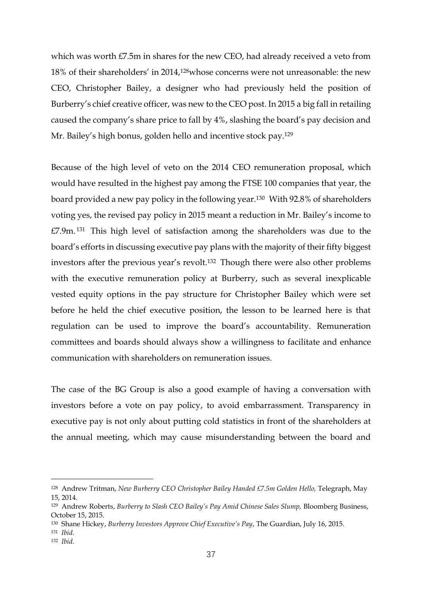which was worth £7.5m in shares for the new CEO, had already received a veto from 18% of their shareholders' in 2014,128whose concerns were not unreasonable: the new CEO, Christopher Bailey, a designer who had previously held the position of Burberry's chief creative officer, was new to the CEO post. In 2015 a big fall in retailing caused the company's share price to fall by 4%, slashing the board's pay decision and Mr. Bailey's high bonus, golden hello and incentive stock pay.<sup>129</sup>

Because of the high level of veto on the 2014 CEO remuneration proposal, which would have resulted in the highest pay among the FTSE 100 companies that year, the board provided a new pay policy in the following year.<sup>130</sup> With 92.8% of shareholders voting yes, the revised pay policy in 2015 meant a reduction in Mr. Bailey's income to £7.9m. <sup>131</sup> This high level of satisfaction among the shareholders was due to the board's efforts in discussing executive pay plans with the majority of their fifty biggest investors after the previous year's revolt.<sup>132</sup> Though there were also other problems with the executive remuneration policy at Burberry, such as several inexplicable vested equity options in the pay structure for Christopher Bailey which were set before he held the chief executive position, the lesson to be learned here is that regulation can be used to improve the board's accountability. Remuneration committees and boards should always show a willingness to facilitate and enhance communication with shareholders on remuneration issues.

The case of the BG Group is also a good example of having a conversation with investors before a vote on pay policy, to avoid embarrassment. Transparency in executive pay is not only about putting cold statistics in front of the shareholders at the annual meeting, which may cause misunderstanding between the board and

<sup>&</sup>lt;sup>128</sup> Andrew Tritman, *New Burberry CEO Christopher Bailey Handed £7.5m Golden Hello*, Telegraph, May 15, 2014.

<sup>&</sup>lt;sup>129</sup> Andrew Roberts, *Burberry to Slash CEO Bailey's Pay Amid Chinese Sales Slump*, Bloomberg Business, October 15, 2015.

<sup>130</sup> Shane Hickey, *Burberry Investors Approve Chief Executive's Pay*, The Guardian, July 16, 2015.

<sup>131</sup> *Ibid.*

<sup>132</sup> *Ibid.*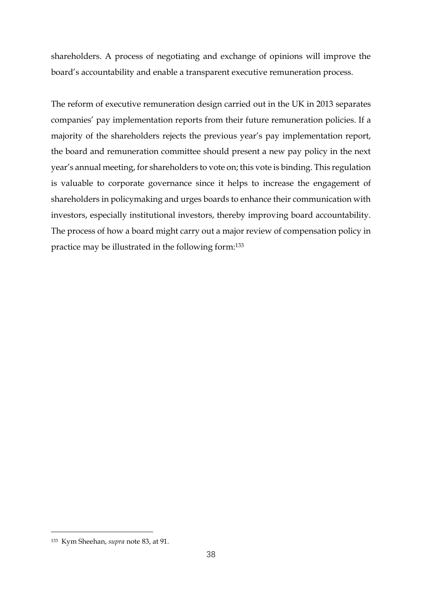shareholders. A process of negotiating and exchange of opinions will improve the board's accountability and enable a transparent executive remuneration process.

The reform of executive remuneration design carried out in the UK in 2013 separates companies' pay implementation reports from their future remuneration policies. If a majority of the shareholders rejects the previous year's pay implementation report, the board and remuneration committee should present a new pay policy in the next year's annual meeting, for shareholders to vote on; this vote is binding. This regulation is valuable to corporate governance since it helps to increase the engagement of shareholders in policymaking and urges boards to enhance their communication with investors, especially institutional investors, thereby improving board accountability. The process of how a board might carry out a major review of compensation policy in practice may be illustrated in the following form:<sup>133</sup>

<sup>133</sup> Kym Sheehan, *supra* note 83, at 91.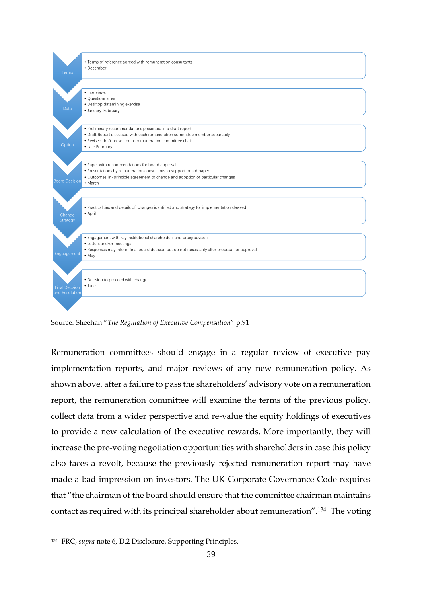

Source: Sheehan "*The Regulation of Executive Compensation*" p.91

Remuneration committees should engage in a regular review of executive pay implementation reports, and major reviews of any new remuneration policy. As shown above, after a failure to pass the shareholders' advisory vote on a remuneration report, the remuneration committee will examine the terms of the previous policy, collect data from a wider perspective and re-value the equity holdings of executives to provide a new calculation of the executive rewards. More importantly, they will increase the pre-voting negotiation opportunities with shareholders in case this policy also faces a revolt, because the previously rejected remuneration report may have made a bad impression on investors. The UK Corporate Governance Code requires that "the chairman of the board should ensure that the committee chairman maintains contact as required with its principal shareholder about remuneration". <sup>134</sup> The voting

<sup>134</sup> FRC, *supra* note 6, D.2 Disclosure, Supporting Principles.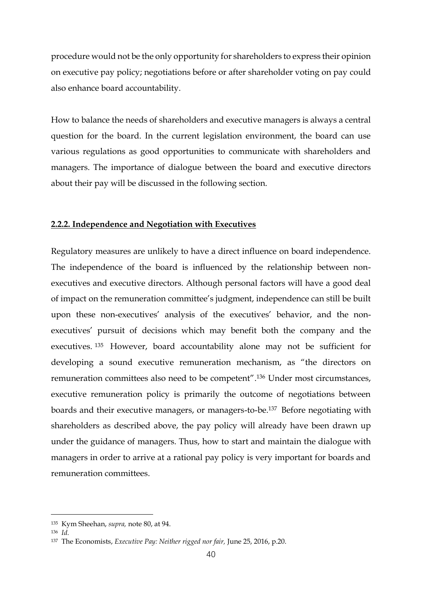procedure would not be the only opportunity for shareholders to express their opinion on executive pay policy; negotiations before or after shareholder voting on pay could also enhance board accountability.

How to balance the needs of shareholders and executive managers is always a central question for the board. In the current legislation environment, the board can use various regulations as good opportunities to communicate with shareholders and managers. The importance of dialogue between the board and executive directors about their pay will be discussed in the following section.

#### **2.2.2. Independence and Negotiation with Executives**

Regulatory measures are unlikely to have a direct influence on board independence. The independence of the board is influenced by the relationship between nonexecutives and executive directors. Although personal factors will have a good deal of impact on the remuneration committee's judgment, independence can still be built upon these non-executives' analysis of the executives' behavior, and the nonexecutives' pursuit of decisions which may benefit both the company and the executives. <sup>135</sup> However, board accountability alone may not be sufficient for developing a sound executive remuneration mechanism, as "the directors on remuneration committees also need to be competent". <sup>136</sup> Under most circumstances, executive remuneration policy is primarily the outcome of negotiations between boards and their executive managers, or managers-to-be.<sup>137</sup> Before negotiating with shareholders as described above, the pay policy will already have been drawn up under the guidance of managers. Thus, how to start and maintain the dialogue with managers in order to arrive at a rational pay policy is very important for boards and remuneration committees.

<sup>135</sup> Kym Sheehan, *supra,* note 80, at 94.

<sup>136</sup> *Id.*

<sup>137</sup> The Economists, *Executive Pay: Neither rigged nor fair,* June 25, 2016, p.20.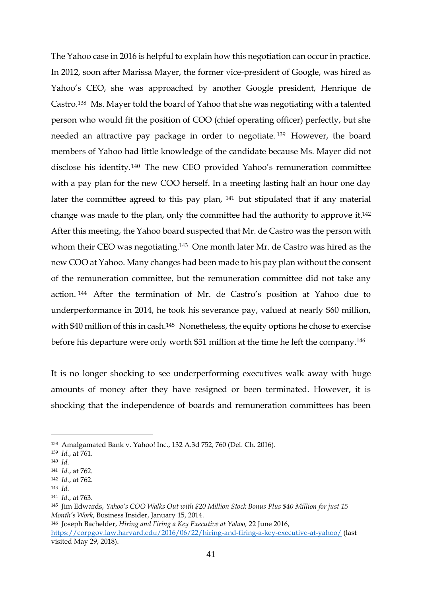The Yahoo case in 2016 is helpful to explain how this negotiation can occur in practice. In 2012, soon after Marissa Mayer, the former vice-president of Google, was hired as Yahoo's CEO, she was approached by another Google president, Henrique de Castro.<sup>138</sup> Ms. Mayer told the board of Yahoo that she was negotiating with a talented person who would fit the position of COO (chief operating officer) perfectly, but she needed an attractive pay package in order to negotiate. <sup>139</sup> However, the board members of Yahoo had little knowledge of the candidate because Ms. Mayer did not disclose his identity. <sup>140</sup> The new CEO provided Yahoo's remuneration committee with a pay plan for the new COO herself. In a meeting lasting half an hour one day later the committee agreed to this pay plan, <sup>141</sup> but stipulated that if any material change was made to the plan, only the committee had the authority to approve it. 142 After this meeting, the Yahoo board suspected that Mr. de Castro was the person with whom their CEO was negotiating.<sup>143</sup> One month later Mr. de Castro was hired as the new COO at Yahoo. Many changes had been made to his pay plan without the consent of the remuneration committee, but the remuneration committee did not take any action. <sup>144</sup> After the termination of Mr. de Castro's position at Yahoo due to underperformance in 2014, he took his severance pay, valued at nearly \$60 million, with \$40 million of this in cash.<sup>145</sup> Nonetheless, the equity options he chose to exercise before his departure were only worth \$51 million at the time he left the company.<sup>146</sup>

It is no longer shocking to see underperforming executives walk away with huge amounts of money after they have resigned or been terminated. However, it is shocking that the independence of boards and remuneration committees has been

1

<sup>143</sup> *Id.*

<sup>138</sup> Amalgamated Bank v. Yahoo! Inc., 132 A.3d 752, 760 (Del. Ch. 2016).

<sup>139</sup> *Id.*, at 761.

<sup>140</sup> *Id.*

<sup>141</sup> *Id.*, at 762.

<sup>142</sup> *Id.*, at 762.

<sup>144</sup> *Id*., at 763.

<sup>145</sup> Jim Edwards, *Yahoo's COO Walks Out with \$20 Million Stock Bonus Plus \$40 Million for just 15 Month's Work*, Business Insider, January 15, 2014.

<sup>146</sup> Joseph Bachelder, *Hiring and Firing a Key Executive at Yahoo,* 22 June 2016, <https://corpgov.law.harvard.edu/2016/06/22/hiring-and-firing-a-key-executive-at-yahoo/> (last visited May 29, 2018).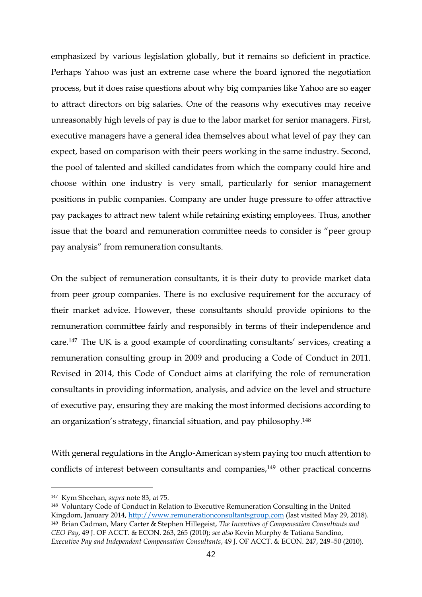emphasized by various legislation globally, but it remains so deficient in practice. Perhaps Yahoo was just an extreme case where the board ignored the negotiation process, but it does raise questions about why big companies like Yahoo are so eager to attract directors on big salaries. One of the reasons why executives may receive unreasonably high levels of pay is due to the labor market for senior managers. First, executive managers have a general idea themselves about what level of pay they can expect, based on comparison with their peers working in the same industry. Second, the pool of talented and skilled candidates from which the company could hire and choose within one industry is very small, particularly for senior management positions in public companies. Company are under huge pressure to offer attractive pay packages to attract new talent while retaining existing employees. Thus, another issue that the board and remuneration committee needs to consider is "peer group pay analysis" from remuneration consultants.

On the subject of remuneration consultants, it is their duty to provide market data from peer group companies. There is no exclusive requirement for the accuracy of their market advice. However, these consultants should provide opinions to the remuneration committee fairly and responsibly in terms of their independence and care. <sup>147</sup> The UK is a good example of coordinating consultants' services, creating a remuneration consulting group in 2009 and producing a Code of Conduct in 2011. Revised in 2014, this Code of Conduct aims at clarifying the role of remuneration consultants in providing information, analysis, and advice on the level and structure of executive pay, ensuring they are making the most informed decisions according to an organization's strategy, financial situation, and pay philosophy.<sup>148</sup>

With general regulations in the Anglo-American system paying too much attention to conflicts of interest between consultants and companies, <sup>149</sup> other practical concerns

<sup>147</sup> Kym Sheehan, *supra* note 83, at 75.

<sup>148</sup> Voluntary Code of Conduct in Relation to Executive Remuneration Consulting in the United Kingdom, January 2014, [http://www.remunerationconsultantsgroup.com](http://www.remunerationconsultantsgroup.com/) (last visited May 29, 2018). <sup>149</sup> Brian Cadman, Mary Carter & Stephen Hillegeist, *The Incentives of Compensation Consultants and CEO Pay*, 49 J. OF ACCT. & ECON. 263, 265 (2010); *see also* Kevin Murphy & Tatiana Sandino, *Executive Pay and Independent Compensation Consultants*, 49 J. OF ACCT. & ECON. 247, 249–50 (2010).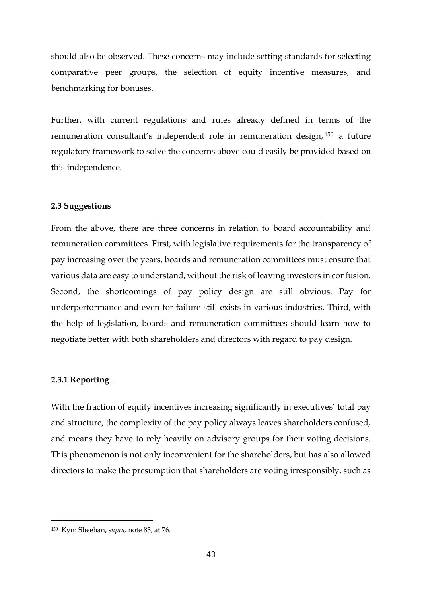should also be observed. These concerns may include setting standards for selecting comparative peer groups, the selection of equity incentive measures, and benchmarking for bonuses.

Further, with current regulations and rules already defined in terms of the remuneration consultant's independent role in remuneration design, <sup>150</sup> a future regulatory framework to solve the concerns above could easily be provided based on this independence.

#### **2.3 Suggestions**

From the above, there are three concerns in relation to board accountability and remuneration committees. First, with legislative requirements for the transparency of pay increasing over the years, boards and remuneration committees must ensure that various data are easy to understand, without the risk of leaving investors in confusion. Second, the shortcomings of pay policy design are still obvious. Pay for underperformance and even for failure still exists in various industries. Third, with the help of legislation, boards and remuneration committees should learn how to negotiate better with both shareholders and directors with regard to pay design.

#### **2.3.1 Reporting**

<u>.</u>

With the fraction of equity incentives increasing significantly in executives' total pay and structure, the complexity of the pay policy always leaves shareholders confused, and means they have to rely heavily on advisory groups for their voting decisions. This phenomenon is not only inconvenient for the shareholders, but has also allowed directors to make the presumption that shareholders are voting irresponsibly, such as

<sup>150</sup> Kym Sheehan, *supra,* note 83, at 76.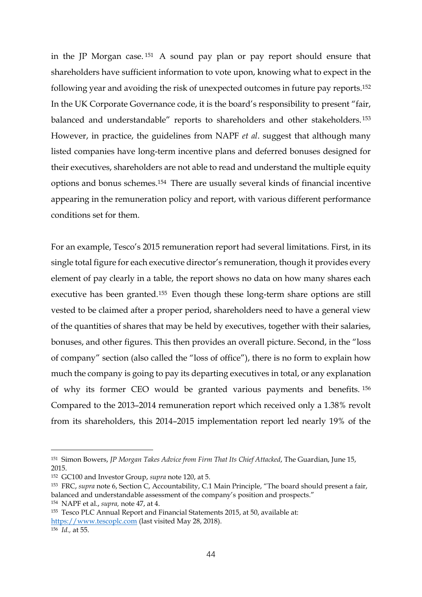in the JP Morgan case. <sup>151</sup> A sound pay plan or pay report should ensure that shareholders have sufficient information to vote upon, knowing what to expect in the following year and avoiding the risk of unexpected outcomes in future pay reports.<sup>152</sup> In the UK Corporate Governance code, it is the board's responsibility to present "fair, balanced and understandable" reports to shareholders and other stakeholders. <sup>153</sup> However, in practice, the guidelines from NAPF *et al*. suggest that although many listed companies have long-term incentive plans and deferred bonuses designed for their executives, shareholders are not able to read and understand the multiple equity options and bonus schemes.<sup>154</sup> There are usually several kinds of financial incentive appearing in the remuneration policy and report, with various different performance conditions set for them.

For an example, Tesco's 2015 remuneration report had several limitations. First, in its single total figure for each executive director's remuneration, though it provides every element of pay clearly in a table, the report shows no data on how many shares each executive has been granted.<sup>155</sup> Even though these long-term share options are still vested to be claimed after a proper period, shareholders need to have a general view of the quantities of shares that may be held by executives, together with their salaries, bonuses, and other figures. This then provides an overall picture. Second, in the "loss of company" section (also called the "loss of office"), there is no form to explain how much the company is going to pay its departing executives in total, or any explanation of why its former CEO would be granted various payments and benefits. <sup>156</sup> Compared to the 2013–2014 remuneration report which received only a 1.38% revolt from its shareholders, this 2014–2015 implementation report led nearly 19% of the

<sup>156</sup> *Id.,* at 55.

1

<sup>151</sup> Simon Bowers, *JP Morgan Takes Advice from Firm That Its Chief Attacked*, The Guardian, June 15, 2015.

<sup>152</sup> GC100 and Investor Group, *supra* note 120, at 5.

<sup>153</sup> FRC, *supra* note 6, Section C, Accountability, C.1 Main Principle, "The board should present a fair, balanced and understandable assessment of the company's position and prospects."

<sup>154</sup> NAPF et al., *supra,* note 47, at 4.

<sup>155</sup> Tesco PLC Annual Report and Financial Statements 2015, at 50, available at:

[https://www.tescoplc.com](https://www.tescoplc.com/) (last visited May 28, 2018).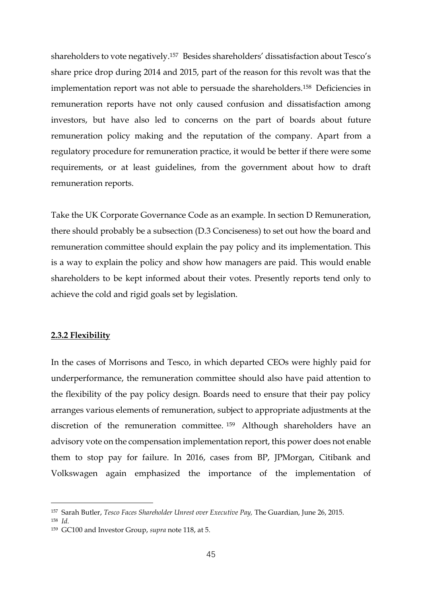shareholders to vote negatively. <sup>157</sup> Besides shareholders' dissatisfaction about Tesco's share price drop during 2014 and 2015, part of the reason for this revolt was that the implementation report was not able to persuade the shareholders.<sup>158</sup> Deficiencies in remuneration reports have not only caused confusion and dissatisfaction among investors, but have also led to concerns on the part of boards about future remuneration policy making and the reputation of the company. Apart from a regulatory procedure for remuneration practice, it would be better if there were some requirements, or at least guidelines, from the government about how to draft remuneration reports.

Take the UK Corporate Governance Code as an example. In section D Remuneration, there should probably be a subsection (D.3 Conciseness) to set out how the board and remuneration committee should explain the pay policy and its implementation. This is a way to explain the policy and show how managers are paid. This would enable shareholders to be kept informed about their votes. Presently reports tend only to achieve the cold and rigid goals set by legislation.

#### **2.3.2 Flexibility**

In the cases of Morrisons and Tesco, in which departed CEOs were highly paid for underperformance, the remuneration committee should also have paid attention to the flexibility of the pay policy design. Boards need to ensure that their pay policy arranges various elements of remuneration, subject to appropriate adjustments at the discretion of the remuneration committee. <sup>159</sup> Although shareholders have an advisory vote on the compensation implementation report, this power does not enable them to stop pay for failure. In 2016, cases from BP, JPMorgan, Citibank and Volkswagen again emphasized the importance of the implementation of

<sup>157</sup> Sarah Butler, *Tesco Faces Shareholder Unrest over Executive Pay,* The Guardian, June 26, 2015.

<sup>158</sup> *Id.*

<sup>159</sup> GC100 and Investor Group, *supra* note 118, at 5.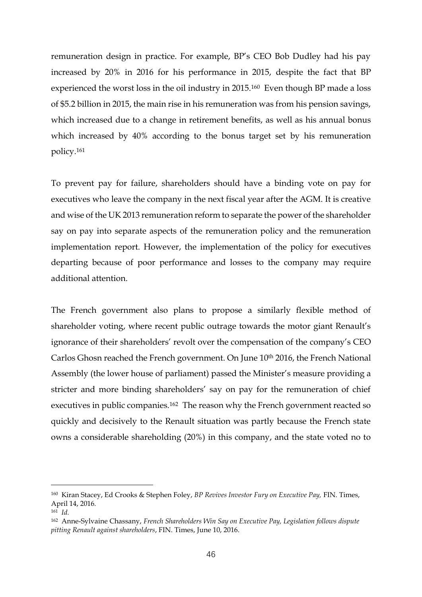remuneration design in practice. For example, BP's CEO Bob Dudley had his pay increased by 20% in 2016 for his performance in 2015, despite the fact that BP experienced the worst loss in the oil industry in 2015.<sup>160</sup> Even though BP made a loss of \$5.2 billion in 2015, the main rise in his remuneration was from his pension savings, which increased due to a change in retirement benefits, as well as his annual bonus which increased by 40% according to the bonus target set by his remuneration policy. 161

To prevent pay for failure, shareholders should have a binding vote on pay for executives who leave the company in the next fiscal year after the AGM. It is creative and wise of the UK 2013 remuneration reform to separate the power of the shareholder say on pay into separate aspects of the remuneration policy and the remuneration implementation report. However, the implementation of the policy for executives departing because of poor performance and losses to the company may require additional attention.

The French government also plans to propose a similarly flexible method of shareholder voting, where recent public outrage towards the motor giant Renault's ignorance of their shareholders' revolt over the compensation of the company's CEO Carlos Ghosn reached the French government. On June 10<sup>th</sup> 2016, the French National Assembly (the lower house of parliament) passed the Minister's measure providing a stricter and more binding shareholders' say on pay for the remuneration of chief executives in public companies.<sup>162</sup> The reason why the French government reacted so quickly and decisively to the Renault situation was partly because the French state owns a considerable shareholding (20%) in this company, and the state voted no to

<sup>160</sup> Kiran Stacey, Ed Crooks & Stephen Foley, *BP Revives Investor Fury on Executive Pay,* FIN. Times, April 14, 2016.

<sup>161</sup> *Id.*

<sup>162</sup> Anne-Sylvaine Chassany, *French Shareholders Win Say on Executive Pay, Legislation follows dispute pitting Renault against shareholders*, FIN. Times, June 10, 2016.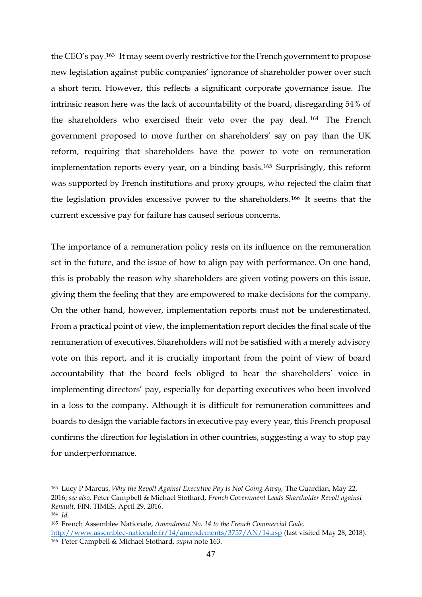the CEO's pay.<sup>163</sup> It may seem overly restrictive for the French government to propose new legislation against public companies' ignorance of shareholder power over such a short term. However, this reflects a significant corporate governance issue. The intrinsic reason here was the lack of accountability of the board, disregarding 54% of the shareholders who exercised their veto over the pay deal. <sup>164</sup> The French government proposed to move further on shareholders' say on pay than the UK reform, requiring that shareholders have the power to vote on remuneration implementation reports every year, on a binding basis.<sup>165</sup> Surprisingly, this reform was supported by French institutions and proxy groups, who rejected the claim that the legislation provides excessive power to the shareholders. <sup>166</sup> It seems that the current excessive pay for failure has caused serious concerns.

The importance of a remuneration policy rests on its influence on the remuneration set in the future, and the issue of how to align pay with performance. On one hand, this is probably the reason why shareholders are given voting powers on this issue, giving them the feeling that they are empowered to make decisions for the company. On the other hand, however, implementation reports must not be underestimated. From a practical point of view, the implementation report decides the final scale of the remuneration of executives. Shareholders will not be satisfied with a merely advisory vote on this report, and it is crucially important from the point of view of board accountability that the board feels obliged to hear the shareholders' voice in implementing directors' pay, especially for departing executives who been involved in a loss to the company. Although it is difficult for remuneration committees and boards to design the variable factors in executive pay every year, this French proposal confirms the direction for legislation in other countries, suggesting a way to stop pay for underperformance.

<sup>163</sup> Lucy P Marcus, *Why the Revolt Against Executive Pay Is Not Going Away,* The Guardian, May 22, 2016; *see also,* Peter Campbell & Michael Stothard, *French Government Leads Shareholder Revolt against Renault*, FIN. TIMES, April 29, 2016.

<sup>164</sup> *Id.*

<sup>165</sup> French Assemblee Nationale, *Amendment No. 14 to the French Commercial Code,*

<http://www.assemblee-nationale.fr/14/amendements/3757/AN/14.asp> (last visited May 28, 2018). <sup>166</sup> Peter Campbell & Michael Stothard, *supra* note 163.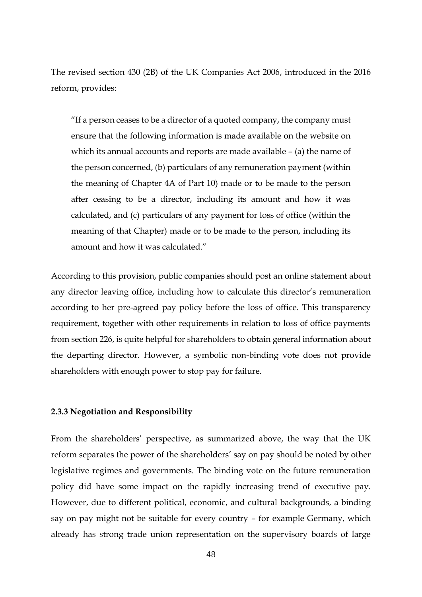The revised section 430 (2B) of the UK Companies Act 2006, introduced in the 2016 reform, provides:

"If a person ceases to be a director of a quoted company, the company must ensure that the following information is made available on the website on which its annual accounts and reports are made available – (a) the name of the person concerned, (b) particulars of any remuneration payment (within the meaning of Chapter 4A of Part 10) made or to be made to the person after ceasing to be a director, including its amount and how it was calculated, and (c) particulars of any payment for loss of office (within the meaning of that Chapter) made or to be made to the person, including its amount and how it was calculated."

According to this provision, public companies should post an online statement about any director leaving office, including how to calculate this director's remuneration according to her pre-agreed pay policy before the loss of office. This transparency requirement, together with other requirements in relation to loss of office payments from section 226, is quite helpful for shareholders to obtain general information about the departing director. However, a symbolic non-binding vote does not provide shareholders with enough power to stop pay for failure.

#### **2.3.3 Negotiation and Responsibility**

From the shareholders' perspective, as summarized above, the way that the UK reform separates the power of the shareholders' say on pay should be noted by other legislative regimes and governments. The binding vote on the future remuneration policy did have some impact on the rapidly increasing trend of executive pay. However, due to different political, economic, and cultural backgrounds, a binding say on pay might not be suitable for every country – for example Germany, which already has strong trade union representation on the supervisory boards of large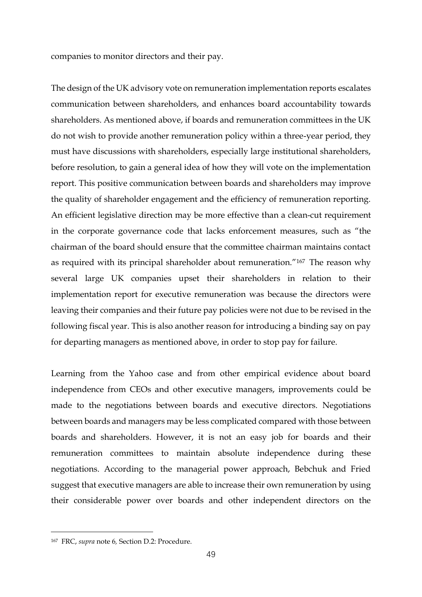companies to monitor directors and their pay.

The design of the UK advisory vote on remuneration implementation reports escalates communication between shareholders, and enhances board accountability towards shareholders. As mentioned above, if boards and remuneration committees in the UK do not wish to provide another remuneration policy within a three-year period, they must have discussions with shareholders, especially large institutional shareholders, before resolution, to gain a general idea of how they will vote on the implementation report. This positive communication between boards and shareholders may improve the quality of shareholder engagement and the efficiency of remuneration reporting. An efficient legislative direction may be more effective than a clean-cut requirement in the corporate governance code that lacks enforcement measures, such as "the chairman of the board should ensure that the committee chairman maintains contact as required with its principal shareholder about remuneration."<sup>167</sup> The reason why several large UK companies upset their shareholders in relation to their implementation report for executive remuneration was because the directors were leaving their companies and their future pay policies were not due to be revised in the following fiscal year. This is also another reason for introducing a binding say on pay for departing managers as mentioned above, in order to stop pay for failure.

Learning from the Yahoo case and from other empirical evidence about board independence from CEOs and other executive managers, improvements could be made to the negotiations between boards and executive directors. Negotiations between boards and managers may be less complicated compared with those between boards and shareholders. However, it is not an easy job for boards and their remuneration committees to maintain absolute independence during these negotiations. According to the managerial power approach, Bebchuk and Fried suggest that executive managers are able to increase their own remuneration by using their considerable power over boards and other independent directors on the

<sup>167</sup> FRC, *supra* note 6*,* Section D.2: Procedure.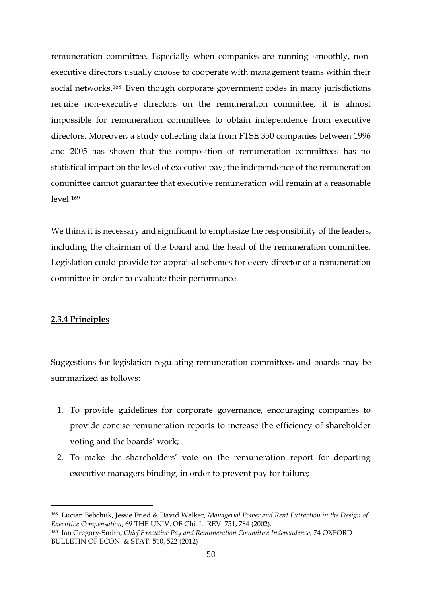remuneration committee. Especially when companies are running smoothly, nonexecutive directors usually choose to cooperate with management teams within their social networks.<sup>168</sup> Even though corporate government codes in many jurisdictions require non-executive directors on the remuneration committee, it is almost impossible for remuneration committees to obtain independence from executive directors. Moreover, a study collecting data from FTSE 350 companies between 1996 and 2005 has shown that the composition of remuneration committees has no statistical impact on the level of executive pay; the independence of the remuneration committee cannot guarantee that executive remuneration will remain at a reasonable  $level 169$ 

We think it is necessary and significant to emphasize the responsibility of the leaders, including the chairman of the board and the head of the remuneration committee. Legislation could provide for appraisal schemes for every director of a remuneration committee in order to evaluate their performance.

### **2.3.4 Principles**

<u>.</u>

Suggestions for legislation regulating remuneration committees and boards may be summarized as follows:

- 1. To provide guidelines for corporate governance, encouraging companies to provide concise remuneration reports to increase the efficiency of shareholder voting and the boards' work;
- 2. To make the shareholders' vote on the remuneration report for departing executive managers binding, in order to prevent pay for failure;

<sup>168</sup> Lucian Bebchuk, Jessie Fried & David Walker, *Managerial Power and Rent Extraction in the Design of Executive Compensation*, 69 THE UNIV. OF Chi. L. REV. 751, 784 (2002).

<sup>169</sup> Ian Gregory-Smith, *Chief Executive Pay and Remuneration Committee Independence,* 74 OXFORD BULLETIN OF ECON. & STAT. 510, 522 (2012)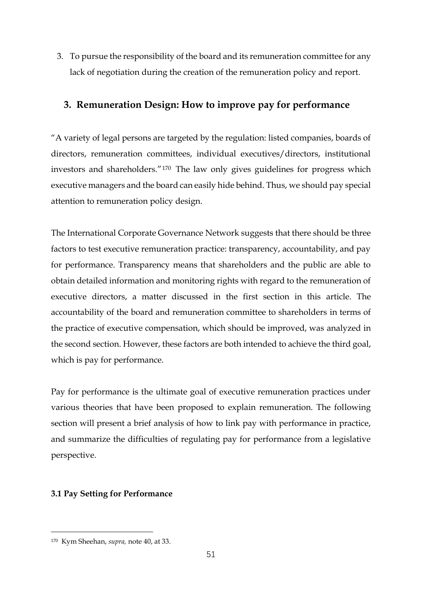3. To pursue the responsibility of the board and its remuneration committee for any lack of negotiation during the creation of the remuneration policy and report.

## **3. Remuneration Design: How to improve pay for performance**

"A variety of legal persons are targeted by the regulation: listed companies, boards of directors, remuneration committees, individual executives/directors, institutional investors and shareholders."<sup>170</sup> The law only gives guidelines for progress which executive managers and the board can easily hide behind. Thus, we should pay special attention to remuneration policy design.

The International Corporate Governance Network suggests that there should be three factors to test executive remuneration practice: transparency, accountability, and pay for performance. Transparency means that shareholders and the public are able to obtain detailed information and monitoring rights with regard to the remuneration of executive directors, a matter discussed in the first section in this article. The accountability of the board and remuneration committee to shareholders in terms of the practice of executive compensation, which should be improved, was analyzed in the second section. However, these factors are both intended to achieve the third goal, which is pay for performance.

Pay for performance is the ultimate goal of executive remuneration practices under various theories that have been proposed to explain remuneration. The following section will present a brief analysis of how to link pay with performance in practice, and summarize the difficulties of regulating pay for performance from a legislative perspective.

## **3.1 Pay Setting for Performance**

<sup>170</sup> Kym Sheehan, *supra,* note 40, at 33.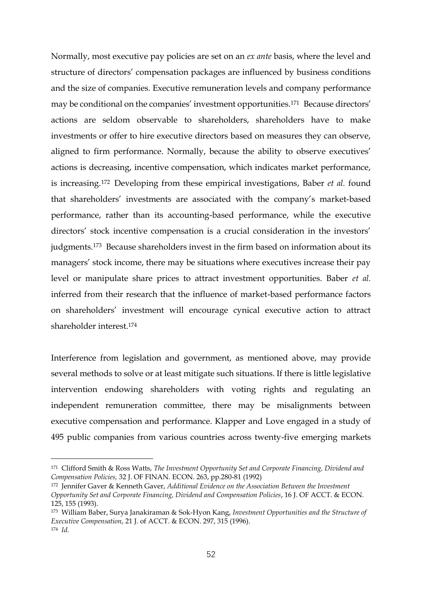Normally, most executive pay policies are set on an *ex ante* basis, where the level and structure of directors' compensation packages are influenced by business conditions and the size of companies. Executive remuneration levels and company performance may be conditional on the companies' investment opportunities.<sup>171</sup> Because directors' actions are seldom observable to shareholders, shareholders have to make investments or offer to hire executive directors based on measures they can observe, aligned to firm performance. Normally, because the ability to observe executives' actions is decreasing, incentive compensation, which indicates market performance, is increasing. <sup>172</sup> Developing from these empirical investigations, Baber *et al.* found that shareholders' investments are associated with the company's market-based performance, rather than its accounting-based performance, while the executive directors' stock incentive compensation is a crucial consideration in the investors' judgments.<sup>173</sup> Because shareholders invest in the firm based on information about its managers' stock income, there may be situations where executives increase their pay level or manipulate share prices to attract investment opportunities. Baber *et al.* inferred from their research that the influence of market-based performance factors on shareholders' investment will encourage cynical executive action to attract shareholder interest.<sup>174</sup>

Interference from legislation and government, as mentioned above, may provide several methods to solve or at least mitigate such situations. If there is little legislative intervention endowing shareholders with voting rights and regulating an independent remuneration committee, there may be misalignments between executive compensation and performance. Klapper and Love engaged in a study of 495 public companies from various countries across twenty-five emerging markets

1

<sup>171</sup> Clifford Smith & Ross Watts, *The Investment Opportunity Set and Corporate Financing, Dividend and Compensation Policies,* 32 J. OF FINAN. ECON. 263, pp.280-81 (1992)

<sup>172</sup> Jennifer Gaver & Kenneth Gaver, *Additional Evidence on the Association Between the Investment Opportunity Set and Corporate Financing, Dividend and Compensation Policies*, 16 J. OF ACCT. & ECON. 125, 155 (1993).

<sup>173</sup> William Baber, Surya Janakiraman & Sok-Hyon Kang, *Investment Opportunities and the Structure of Executive Compensation*, 21 J. of ACCT. & ECON. 297, 315 (1996). <sup>174</sup> *Id.*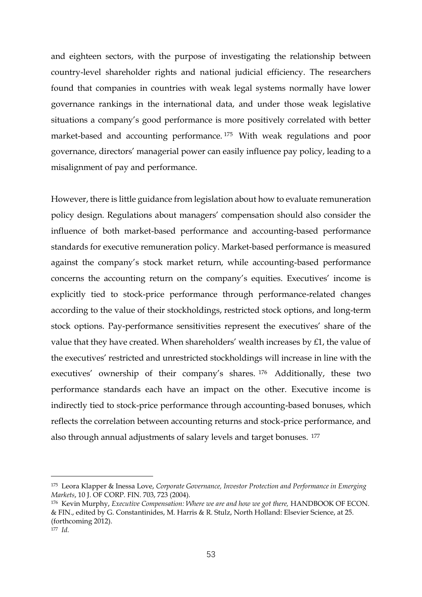and eighteen sectors, with the purpose of investigating the relationship between country-level shareholder rights and national judicial efficiency. The researchers found that companies in countries with weak legal systems normally have lower governance rankings in the international data, and under those weak legislative situations a company's good performance is more positively correlated with better market-based and accounting performance. <sup>175</sup> With weak regulations and poor governance, directors' managerial power can easily influence pay policy, leading to a misalignment of pay and performance.

However, there is little guidance from legislation about how to evaluate remuneration policy design. Regulations about managers' compensation should also consider the influence of both market-based performance and accounting-based performance standards for executive remuneration policy. Market-based performance is measured against the company's stock market return, while accounting-based performance concerns the accounting return on the company's equities. Executives' income is explicitly tied to stock-price performance through performance-related changes according to the value of their stockholdings, restricted stock options, and long-term stock options. Pay-performance sensitivities represent the executives' share of the value that they have created. When shareholders' wealth increases by £1, the value of the executives' restricted and unrestricted stockholdings will increase in line with the executives' ownership of their company's shares. <sup>176</sup> Additionally, these two performance standards each have an impact on the other. Executive income is indirectly tied to stock-price performance through accounting-based bonuses, which reflects the correlation between accounting returns and stock-price performance, and also through annual adjustments of salary levels and target bonuses. <sup>177</sup>

<sup>175</sup> Leora Klapper & Inessa Love, *Corporate Governance, Investor Protection and Performance in Emerging Markets*, 10 J. OF CORP. FIN. 703, 723 (2004).

<sup>176</sup> Kevin Murphy, *Executive Compensation: Where we are and how we got there,* HANDBOOK OF ECON. & FIN., edited by G. Constantinides, M. Harris & R. Stulz, North Holland: Elsevier Science, at 25. (forthcoming 2012).

<sup>177</sup> *Id.*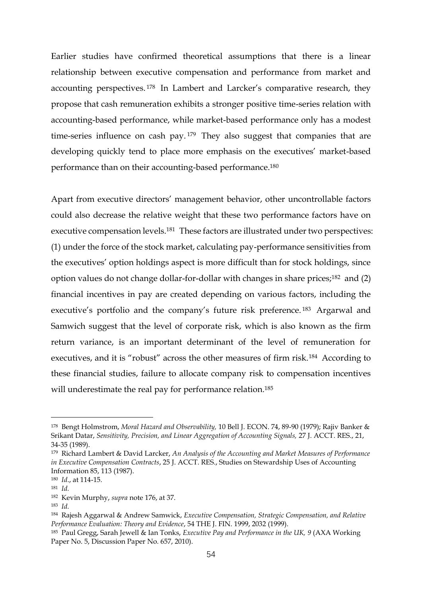Earlier studies have confirmed theoretical assumptions that there is a linear relationship between executive compensation and performance from market and accounting perspectives. <sup>178</sup> In Lambert and Larcker's comparative research, they propose that cash remuneration exhibits a stronger positive time-series relation with accounting-based performance, while market-based performance only has a modest time-series influence on cash pay.<sup>179</sup> They also suggest that companies that are developing quickly tend to place more emphasis on the executives' market-based performance than on their accounting-based performance.<sup>180</sup>

Apart from executive directors' management behavior, other uncontrollable factors could also decrease the relative weight that these two performance factors have on executive compensation levels.<sup>181</sup> These factors are illustrated under two perspectives: (1) under the force of the stock market, calculating pay-performance sensitivities from the executives' option holdings aspect is more difficult than for stock holdings, since option values do not change dollar-for-dollar with changes in share prices;<sup>182</sup> and (2) financial incentives in pay are created depending on various factors, including the executive's portfolio and the company's future risk preference. <sup>183</sup> Argarwal and Samwich suggest that the level of corporate risk, which is also known as the firm return variance, is an important determinant of the level of remuneration for executives, and it is "robust" across the other measures of firm risk.<sup>184</sup> According to these financial studies, failure to allocate company risk to compensation incentives will underestimate the real pay for performance relation.<sup>185</sup>

<sup>178</sup> Bengt Holmstrom, *Moral Hazard and Observability,* 10 Bell J. ECON. 74, 89-90 (1979); Rajiv Banker & Srikant Datar, *Sensitivity, Precision, and Linear Aggregation of Accounting Signals,* 27 J. ACCT. RES., 21, 34-35 (1989).

<sup>179</sup> Richard Lambert & David Larcker, *An Analysis of the Accounting and Market Measures of Performance in Executive Compensation Contracts*, 25 J. ACCT. RES., Studies on Stewardship Uses of Accounting Information 85, 113 (1987).

<sup>180</sup> *Id*., at 114-15.

<sup>181</sup> *Id.*

<sup>182</sup> Kevin Murphy, *supra* note 176, at 37.

<sup>183</sup> *Id.*

<sup>184</sup> Rajesh Aggarwal & Andrew Samwick, *Executive Compensation, Strategic Compensation, and Relative Performance Evaluation: Theory and Evidence*, 54 THE J. FIN. 1999, 2032 (1999).

<sup>185</sup> Paul Gregg, Sarah Jewell & Ian Tonks, *Executive Pay and Performance in the UK, 9* (AXA Working Paper No. 5, Discussion Paper No. 657, 2010).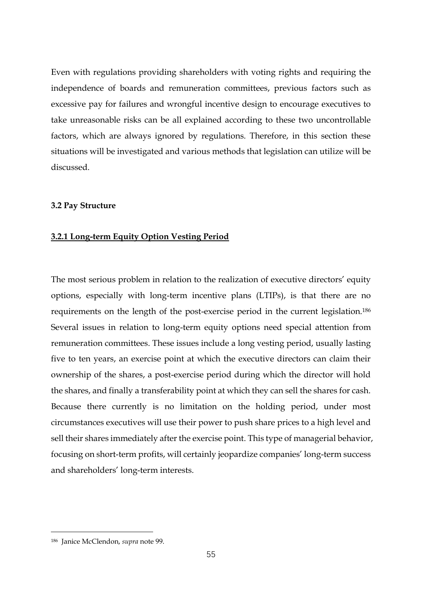Even with regulations providing shareholders with voting rights and requiring the independence of boards and remuneration committees, previous factors such as excessive pay for failures and wrongful incentive design to encourage executives to take unreasonable risks can be all explained according to these two uncontrollable factors, which are always ignored by regulations. Therefore, in this section these situations will be investigated and various methods that legislation can utilize will be discussed.

#### **3.2 Pay Structure**

#### **3.2.1 Long-term Equity Option Vesting Period**

The most serious problem in relation to the realization of executive directors' equity options, especially with long-term incentive plans (LTIPs), is that there are no requirements on the length of the post-exercise period in the current legislation. 186 Several issues in relation to long-term equity options need special attention from remuneration committees. These issues include a long vesting period, usually lasting five to ten years, an exercise point at which the executive directors can claim their ownership of the shares, a post-exercise period during which the director will hold the shares, and finally a transferability point at which they can sell the shares for cash. Because there currently is no limitation on the holding period, under most circumstances executives will use their power to push share prices to a high level and sell their shares immediately after the exercise point. This type of managerial behavior, focusing on short-term profits, will certainly jeopardize companies' long-term success and shareholders' long-term interests.

<sup>186</sup> Janice McClendon, *supra* note 99.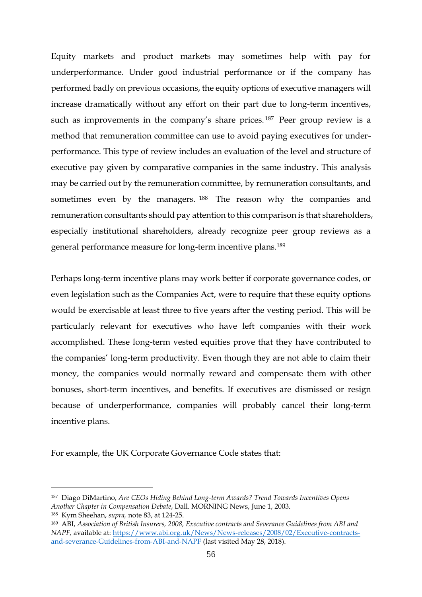Equity markets and product markets may sometimes help with pay for underperformance. Under good industrial performance or if the company has performed badly on previous occasions, the equity options of executive managers will increase dramatically without any effort on their part due to long-term incentives, such as improvements in the company's share prices.<sup>187</sup> Peer group review is a method that remuneration committee can use to avoid paying executives for underperformance. This type of review includes an evaluation of the level and structure of executive pay given by comparative companies in the same industry. This analysis may be carried out by the remuneration committee, by remuneration consultants, and sometimes even by the managers. <sup>188</sup> The reason why the companies and remuneration consultants should pay attention to this comparison is that shareholders, especially institutional shareholders, already recognize peer group reviews as a general performance measure for long-term incentive plans.<sup>189</sup>

Perhaps long-term incentive plans may work better if corporate governance codes, or even legislation such as the Companies Act, were to require that these equity options would be exercisable at least three to five years after the vesting period. This will be particularly relevant for executives who have left companies with their work accomplished. These long-term vested equities prove that they have contributed to the companies' long-term productivity. Even though they are not able to claim their money, the companies would normally reward and compensate them with other bonuses, short-term incentives, and benefits. If executives are dismissed or resign because of underperformance, companies will probably cancel their long-term incentive plans.

For example, the UK Corporate Governance Code states that:

<sup>187</sup> Diago DiMartino, *Are CEOs Hiding Behind Long-term Awards? Trend Towards Incentives Opens Another Chapter in Compensation Debate*, Dall. MORNING News, June 1, 2003. <sup>188</sup> Kym Sheehan, *supra,* note 83, at 124-25.

<sup>189</sup> ABI, *Association of British Insurers, 2008, Executive contracts and Severance Guidelines from ABI and NAPF,* available at: [https://www.abi.org.uk/News/News-releases/2008/02/Executive-contracts](https://www.abi.org.uk/News/News-releases/2008/02/Executive-contracts-and-severance-Guidelines-from-ABI-and-NAPF)[and-severance-Guidelines-from-ABI-and-NAPF](https://www.abi.org.uk/News/News-releases/2008/02/Executive-contracts-and-severance-Guidelines-from-ABI-and-NAPF) (last visited May 28, 2018).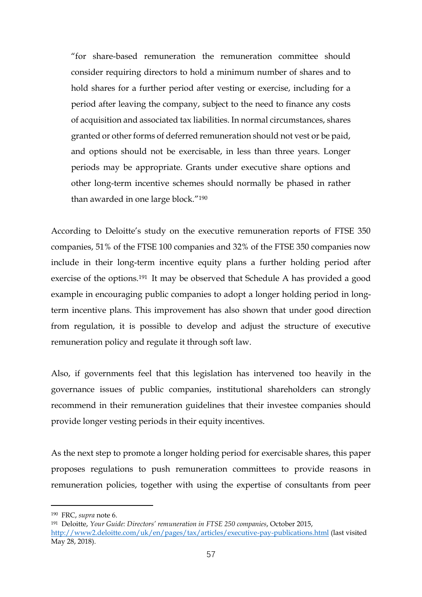"for share-based remuneration the remuneration committee should consider requiring directors to hold a minimum number of shares and to hold shares for a further period after vesting or exercise, including for a period after leaving the company, subject to the need to finance any costs of acquisition and associated tax liabilities. In normal circumstances, shares granted or other forms of deferred remuneration should not vest or be paid, and options should not be exercisable, in less than three years. Longer periods may be appropriate. Grants under executive share options and other long-term incentive schemes should normally be phased in rather than awarded in one large block."<sup>190</sup>

According to Deloitte's study on the executive remuneration reports of FTSE 350 companies, 51% of the FTSE 100 companies and 32% of the FTSE 350 companies now include in their long-term incentive equity plans a further holding period after exercise of the options.<sup>191</sup> It may be observed that Schedule A has provided a good example in encouraging public companies to adopt a longer holding period in longterm incentive plans. This improvement has also shown that under good direction from regulation, it is possible to develop and adjust the structure of executive remuneration policy and regulate it through soft law.

Also, if governments feel that this legislation has intervened too heavily in the governance issues of public companies, institutional shareholders can strongly recommend in their remuneration guidelines that their investee companies should provide longer vesting periods in their equity incentives.

As the next step to promote a longer holding period for exercisable shares, this paper proposes regulations to push remuneration committees to provide reasons in remuneration policies, together with using the expertise of consultants from peer

<sup>190</sup> FRC, *supra* note 6.

<sup>191</sup> Deloitte, *Your Guide: Directors' remuneration in FTSE 250 companies*, October 2015, <http://www2.deloitte.com/uk/en/pages/tax/articles/executive-pay-publications.html> (last visited May 28, 2018).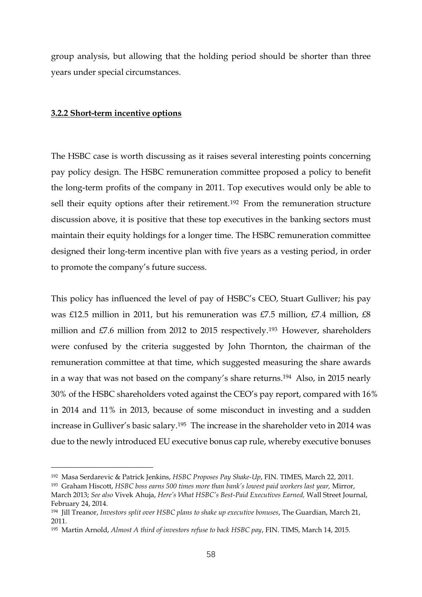group analysis, but allowing that the holding period should be shorter than three years under special circumstances.

#### **3.2.2 Short-term incentive options**

<u>.</u>

The HSBC case is worth discussing as it raises several interesting points concerning pay policy design. The HSBC remuneration committee proposed a policy to benefit the long-term profits of the company in 2011. Top executives would only be able to sell their equity options after their retirement.<sup>192</sup> From the remuneration structure discussion above, it is positive that these top executives in the banking sectors must maintain their equity holdings for a longer time. The HSBC remuneration committee designed their long-term incentive plan with five years as a vesting period, in order to promote the company's future success.

This policy has influenced the level of pay of HSBC's CEO, Stuart Gulliver; his pay was £12.5 million in 2011, but his remuneration was £7.5 million, £7.4 million, £8 million and £7.6 million from 2012 to 2015 respectively.<sup>193</sup> However, shareholders were confused by the criteria suggested by John Thornton, the chairman of the remuneration committee at that time, which suggested measuring the share awards in a way that was not based on the company's share returns.<sup>194</sup> Also, in 2015 nearly 30% of the HSBC shareholders voted against the CEO's pay report, compared with 16% in 2014 and 11% in 2013, because of some misconduct in investing and a sudden increase in Gulliver's basic salary.<sup>195</sup> The increase in the shareholder veto in 2014 was due to the newly introduced EU executive bonus cap rule, whereby executive bonuses

<sup>192</sup> Masa Serdarevic & Patrick Jenkins, *HSBC Proposes Pay Shake-Up*, FIN. TIMES, March 22, 2011.

<sup>193</sup> Graham Hiscott, *HSBC boss earns 500 times more than bank's lowest paid workers last year,* Mirror, March 2013; *See also* Vivek Ahuja, *Here's What HSBC's Best-Paid Executives Earned,* Wall Street Journal, February 24, 2014.

<sup>194</sup> Jill Treanor, *Investors split over HSBC plans to shake up executive bonuses*, The Guardian, March 21, 2011.

<sup>195</sup> Martin Arnold, *Almost A third of investors refuse to back HSBC pay*, FIN. TIMS, March 14, 2015.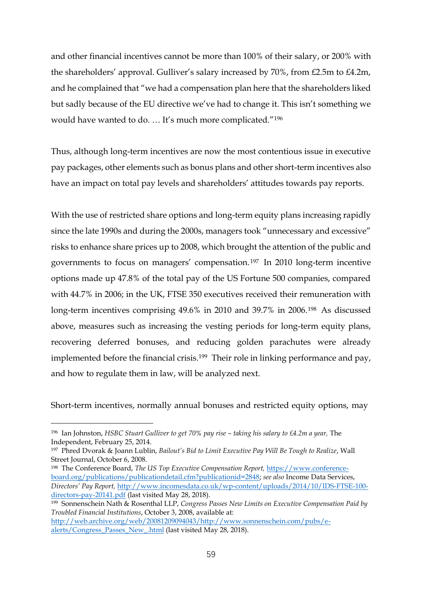and other financial incentives cannot be more than 100% of their salary, or 200% with the shareholders' approval. Gulliver's salary increased by 70%, from £2.5m to £4.2m, and he complained that "we had a compensation plan here that the shareholders liked but sadly because of the EU directive we've had to change it. This isn't something we would have wanted to do. … It's much more complicated."<sup>196</sup>

Thus, although long-term incentives are now the most contentious issue in executive pay packages, other elements such as bonus plans and other short-term incentives also have an impact on total pay levels and shareholders' attitudes towards pay reports.

With the use of restricted share options and long-term equity plans increasing rapidly since the late 1990s and during the 2000s, managers took "unnecessary and excessive" risks to enhance share prices up to 2008, which brought the attention of the public and governments to focus on managers' compensation.<sup>197</sup> In 2010 long-term incentive options made up 47.8% of the total pay of the US Fortune 500 companies, compared with 44.7% in 2006; in the UK, FTSE 350 executives received their remuneration with long-term incentives comprising 49.6% in 2010 and 39.7% in 2006.<sup>198</sup> As discussed above, measures such as increasing the vesting periods for long-term equity plans, recovering deferred bonuses, and reducing golden parachutes were already implemented before the financial crisis.<sup>199</sup> Their role in linking performance and pay, and how to regulate them in law, will be analyzed next.

Short-term incentives, normally annual bonuses and restricted equity options, may

<sup>196</sup> Ian Johnston, *HSBC Stuart Gulliver to get 70% pay rise – taking his salary to £4.2m a year,* The Independent, February 25, 2014.

<sup>197</sup> Phred Dvorak & Joann Lublin, *Bailout's Bid to Limit Executive Pay Will Be Tough to Realize*, Wall Street Journal, October 6, 2008.

<sup>198</sup> The Conference Board, *The US Top Executive Compensation Report,* [https://www.conference](https://www.conference-board.org/publications/publicationdetail.cfm?publicationid=2848)[board.org/publications/publicationdetail.cfm?publicationid=2848;](https://www.conference-board.org/publications/publicationdetail.cfm?publicationid=2848) *see also* Income Data Services, *Directors' Pay Report,* [http://www.incomesdata.co.uk/wp-content/uploads/2014/10/IDS-FTSE-100](http://www.incomesdata.co.uk/wp-content/uploads/2014/10/IDS-FTSE-100-directors-pay-20141.pdf) [directors-pay-20141.pdf](http://www.incomesdata.co.uk/wp-content/uploads/2014/10/IDS-FTSE-100-directors-pay-20141.pdf) (last visited May 28, 2018).

<sup>199</sup> Sonnenschein Nath & Rosenthal LLP, *Congress Passes New Limits on Executive Compensation Paid by Troubled Financial Institutions*, October 3, 2008, available at:

[http://web.archive.org/web/20081209094043/http://www.sonnenschein.com/pubs/e](http://web.archive.org/web/20081209094043/http:/www.sonnenschein.com/pubs/e-alerts/Congress_Passes_New_.html)[alerts/Congress\\_Passes\\_New\\_.html](http://web.archive.org/web/20081209094043/http:/www.sonnenschein.com/pubs/e-alerts/Congress_Passes_New_.html) (last visited May 28, 2018).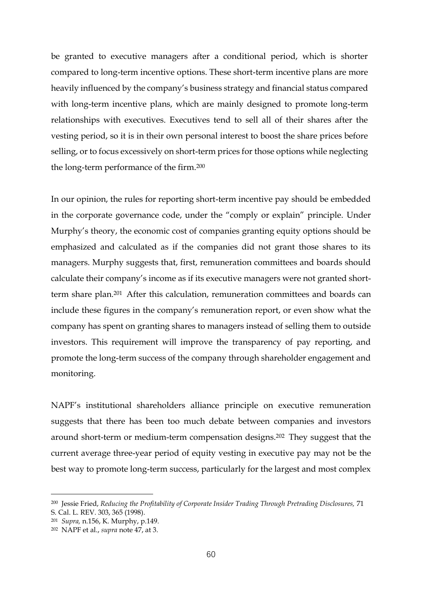be granted to executive managers after a conditional period, which is shorter compared to long-term incentive options. These short-term incentive plans are more heavily influenced by the company's business strategy and financial status compared with long-term incentive plans, which are mainly designed to promote long-term relationships with executives. Executives tend to sell all of their shares after the vesting period, so it is in their own personal interest to boost the share prices before selling, or to focus excessively on short-term prices for those options while neglecting the long-term performance of the firm.<sup>200</sup>

In our opinion, the rules for reporting short-term incentive pay should be embedded in the corporate governance code, under the "comply or explain" principle. Under Murphy's theory, the economic cost of companies granting equity options should be emphasized and calculated as if the companies did not grant those shares to its managers. Murphy suggests that, first, remuneration committees and boards should calculate their company's income as if its executive managers were not granted shortterm share plan.<sup>201</sup> After this calculation, remuneration committees and boards can include these figures in the company's remuneration report, or even show what the company has spent on granting shares to managers instead of selling them to outside investors. This requirement will improve the transparency of pay reporting, and promote the long-term success of the company through shareholder engagement and monitoring.

NAPF's institutional shareholders alliance principle on executive remuneration suggests that there has been too much debate between companies and investors around short-term or medium-term compensation designs.<sup>202</sup> They suggest that the current average three-year period of equity vesting in executive pay may not be the best way to promote long-term success, particularly for the largest and most complex

<sup>200</sup> Jessie Fried, *Reducing the Profitability of Corporate Insider Trading Through Pretrading Disclosures,* 71 S. Cal. L. REV. 303, 365 (1998).

<sup>201</sup> *Supra,* n.156, K. Murphy, p.149.

<sup>202</sup> NAPF et al., *supra* note 47, at 3.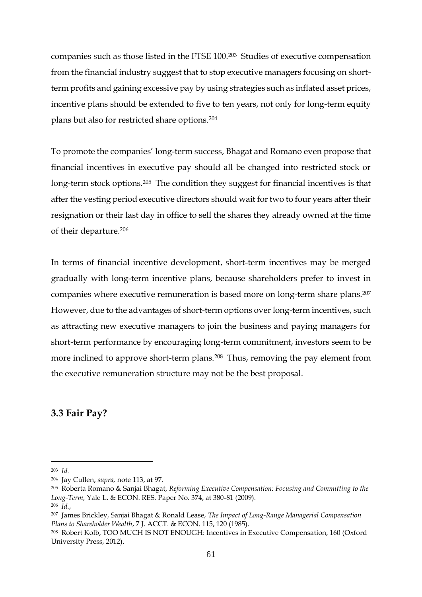companies such as those listed in the FTSE 100.<sup>203</sup> Studies of executive compensation from the financial industry suggest that to stop executive managers focusing on shortterm profits and gaining excessive pay by using strategies such as inflated asset prices, incentive plans should be extended to five to ten years, not only for long-term equity plans but also for restricted share options.<sup>204</sup>

To promote the companies' long-term success, Bhagat and Romano even propose that financial incentives in executive pay should all be changed into restricted stock or long-term stock options.<sup>205</sup> The condition they suggest for financial incentives is that after the vesting period executive directors should wait for two to four years after their resignation or their last day in office to sell the shares they already owned at the time of their departure. 206

In terms of financial incentive development, short-term incentives may be merged gradually with long-term incentive plans, because shareholders prefer to invest in companies where executive remuneration is based more on long-term share plans.<sup>207</sup> However, due to the advantages of short-term options over long-term incentives, such as attracting new executive managers to join the business and paying managers for short-term performance by encouraging long-term commitment, investors seem to be more inclined to approve short-term plans.<sup>208</sup> Thus, removing the pay element from the executive remuneration structure may not be the best proposal.

## **3.3 Fair Pay?**

<sup>203</sup> *Id.*

<sup>204</sup> Jay Cullen, *supra,* note 113, at 97.

<sup>205</sup> Roberta Romano & Sanjai Bhagat, *Reforming Executive Compensation: Focusing and Committing to the Long-Term,* Yale L. & ECON. RES. Paper No. 374, at 380-81 (2009).

<sup>206</sup> *Id.*,

<sup>207</sup> James Brickley, Sanjai Bhagat & Ronald Lease, *The Impact of Long-Range Managerial Compensation Plans to Shareholder Wealth*, 7 J. ACCT. & ECON. 115, 120 (1985).

<sup>208</sup> Robert Kolb, TOO MUCH IS NOT ENOUGH: Incentives in Executive Compensation, 160 (Oxford University Press, 2012).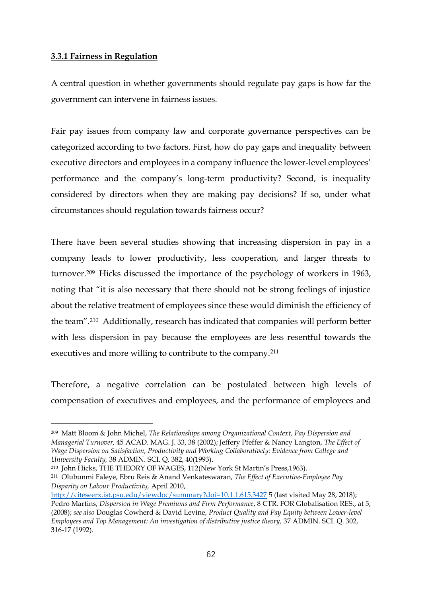## **3.3.1 Fairness in Regulation**

<u>.</u>

A central question in whether governments should regulate pay gaps is how far the government can intervene in fairness issues.

Fair pay issues from company law and corporate governance perspectives can be categorized according to two factors. First, how do pay gaps and inequality between executive directors and employees in a company influence the lower-level employees' performance and the company's long-term productivity? Second, is inequality considered by directors when they are making pay decisions? If so, under what circumstances should regulation towards fairness occur?

There have been several studies showing that increasing dispersion in pay in a company leads to lower productivity, less cooperation, and larger threats to turnover.<sup>209</sup> Hicks discussed the importance of the psychology of workers in 1963, noting that "it is also necessary that there should not be strong feelings of injustice about the relative treatment of employees since these would diminish the efficiency of the team". <sup>210</sup> Additionally, research has indicated that companies will perform better with less dispersion in pay because the employees are less resentful towards the executives and more willing to contribute to the company.<sup>211</sup>

Therefore, a negative correlation can be postulated between high levels of compensation of executives and employees, and the performance of employees and

<sup>209</sup> Matt Bloom & John Michel, *The Relationships among Organizational Context, Pay Dispersion and Managerial Turnover,* 45 ACAD. MAG. J. 33, 38 (2002); Jeffery Pfeffer & Nancy Langton, *The Effect of Wage Dispersion on Satisfaction, Productivity and Working Collaboratively: Evidence from College and University Faculty,* 38 ADMIN. SCI. Q. 382, 40(1993).

<sup>210</sup> John Hicks, THE THEORY OF WAGES, 112(New York St Martin's Press,1963).

<sup>211</sup> Olubunmi Faleye, Ebru Reis & Anand Venkateswaran, *The Effect of Executive-Employee Pay Disparity on Labour Productivity,* April 2010,

<http://citeseerx.ist.psu.edu/viewdoc/summary?doi=10.1.1.615.3427> 5 (last visited May 28, 2018); Pedro Martins, *Dispersion in Wage Premiums and Firm Performance*, 8 CTR. FOR Globalisation RES., at 5, (2008); *see also* Douglas Cowherd & David Levine, *Product Quality and Pay Equity between Lower-level Employees and Top Management: An investigation of distributive justice theory,* 37 ADMIN. SCI. Q. 302, 316-17 (1992).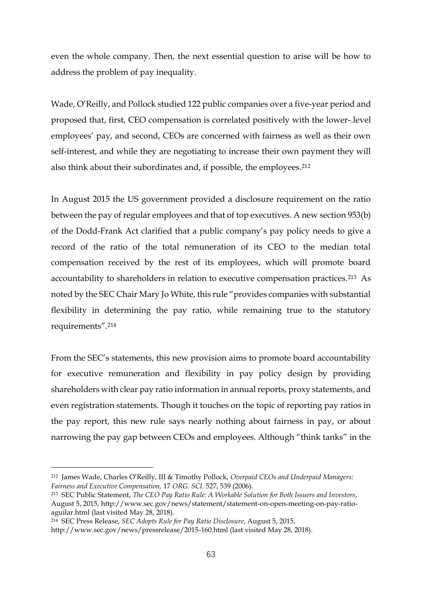even the whole company. Then, the next essential question to arise will be how to address the problem of pay inequality.

Wade, O'Reilly, and Pollock studied 122 public companies over a five-year period and proposed that, first, CEO compensation is correlated positively with the lower-.level employees' pay, and second, CEOs are concerned with fairness as well as their own self-interest, and while they are negotiating to increase their own payment they will also think about their subordinates and, if possible, the employees.<sup>212</sup>

In August 2015 the US government provided a disclosure requirement on the ratio between the pay of regular employees and that of top executives. A new section 953(b) of the Dodd-Frank Act clarified that a public company's pay policy needs to give a record of the ratio of the total remuneration of its CEO to the median total compensation received by the rest of its employees, which will promote board accountability to shareholders in relation to executive compensation practices.<sup>213</sup> As noted by the SEC Chair Mary Jo White, this rule "provides companies with substantial flexibility in determining the pay ratio, while remaining true to the statutory requirements". 214

From the SEC's statements, this new provision aims to promote board accountability for executive remuneration and flexibility in pay policy design by providing shareholders with clear pay ratio information in annual reports, proxy statements, and even registration statements. Though it touches on the topic of reporting pay ratios in the pay report, this new rule says nearly nothing about fairness in pay, or about narrowing the pay gap between CEOs and employees. Although "think tanks" in the

<sup>212</sup> James Wade, Charles O'Reilly, III & Timothy Pollock, *Overpaid CEOs and Underpaid Managers: Fairness and Executive Compensation,* 17 *ORG. SCI.* 527, 539 (2006).

<sup>213</sup> SEC Public Statement, *The CEO Pay Ratio Rule: A Workable Solution for Both Issuers and Investors*, August 5, 2015, [http://www.sec.gov/news/statement/statement-on-open-meeting-on-pay-ratio](http://www.sec.gov/news/statement/statement-on-open-meeting-on-pay-ratio-aguilar.html)[aguilar.html](http://www.sec.gov/news/statement/statement-on-open-meeting-on-pay-ratio-aguilar.html) (last visited May 28, 2018).

<sup>214</sup> SEC Press Release, *SEC Adopts Rule for Pay Ratio Disclosure*, August 5, 2015,

<http://www.sec.gov/news/pressrelease/2015-160.html> (last visited May 28, 2018).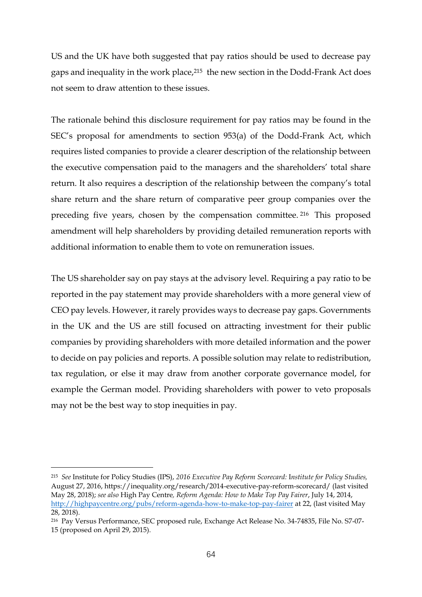US and the UK have both suggested that pay ratios should be used to decrease pay gaps and inequality in the work place,<sup>215</sup> the new section in the Dodd-Frank Act does not seem to draw attention to these issues.

The rationale behind this disclosure requirement for pay ratios may be found in the SEC's proposal for amendments to section 953(a) of the Dodd-Frank Act, which requires listed companies to provide a clearer description of the relationship between the executive compensation paid to the managers and the shareholders' total share return. It also requires a description of the relationship between the company's total share return and the share return of comparative peer group companies over the preceding five years, chosen by the compensation committee. <sup>216</sup> This proposed amendment will help shareholders by providing detailed remuneration reports with additional information to enable them to vote on remuneration issues.

The US shareholder say on pay stays at the advisory level. Requiring a pay ratio to be reported in the pay statement may provide shareholders with a more general view of CEO pay levels. However, it rarely provides ways to decrease pay gaps. Governments in the UK and the US are still focused on attracting investment for their public companies by providing shareholders with more detailed information and the power to decide on pay policies and reports. A possible solution may relate to redistribution, tax regulation, or else it may draw from another corporate governance model, for example the German model. Providing shareholders with power to veto proposals may not be the best way to stop inequities in pay.

<sup>215</sup> *See* Institute for Policy Studies (IPS), *2016 Executive Pay Reform Scorecard:* I*nstitute for Policy Studies,*  August 27, 2016, https://inequality.org/research/2014-executive-pay-reform-scorecard/ (last visited May 28, 2018); *see also* High Pay Centre*, Reform Agenda: How to Make Top Pay Fairer*, July 14, 2014, <http://highpaycentre.org/pubs/reform-agenda-how-to-make-top-pay-fairer> at 22, (last visited May 28, 2018).

<sup>216</sup> Pay Versus Performance, SEC proposed rule, Exchange Act Release No. 34-74835, File No. S7-07- 15 (proposed on April 29, 2015).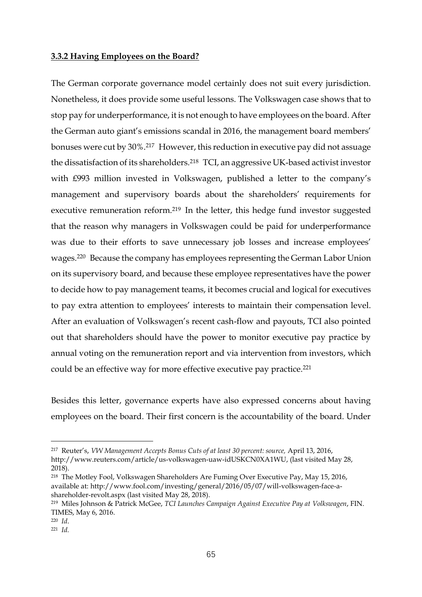#### **3.3.2 Having Employees on the Board?**

The German corporate governance model certainly does not suit every jurisdiction. Nonetheless, it does provide some useful lessons. The Volkswagen case shows that to stop pay for underperformance, it is not enough to have employees on the board. After the German auto giant's emissions scandal in 2016, the management board members' bonuses were cut by 30%.<sup>217</sup> However, this reduction in executive pay did not assuage the dissatisfaction of its shareholders.<sup>218</sup> TCI, an aggressive UK-based activist investor with £993 million invested in Volkswagen, published a letter to the company's management and supervisory boards about the shareholders' requirements for executive remuneration reform.<sup>219</sup> In the letter, this hedge fund investor suggested that the reason why managers in Volkswagen could be paid for underperformance was due to their efforts to save unnecessary job losses and increase employees' wages.<sup>220</sup> Because the company has employees representing the German Labor Union on its supervisory board, and because these employee representatives have the power to decide how to pay management teams, it becomes crucial and logical for executives to pay extra attention to employees' interests to maintain their compensation level. After an evaluation of Volkswagen's recent cash-flow and payouts, TCI also pointed out that shareholders should have the power to monitor executive pay practice by annual voting on the remuneration report and via intervention from investors, which could be an effective way for more effective executive pay practice.<sup>221</sup>

Besides this letter, governance experts have also expressed concerns about having employees on the board. Their first concern is the accountability of the board. Under

<sup>217</sup> Reuter's, *VW Management Accepts Bonus Cuts of at least 30 percent: source,* April 13, 2016,

[http://www.reuters.com/article/us-volkswagen-uaw-idUSKCN0XA1WU,](http://www.reuters.com/article/us-volkswagen-uaw-idUSKCN0XA1WU) (last visited May 28, 2018).

<sup>218</sup> The Motley Fool, Volkswagen Shareholders Are Fuming Over Executive Pay, May 15, 2016, available at: [http://www.fool.com/investing/general/2016/05/07/will-volkswagen-face-a](http://www.fool.com/investing/general/2016/05/07/will-volkswagen-face-a-shareholder-revolt.aspx)[shareholder-revolt.aspx](http://www.fool.com/investing/general/2016/05/07/will-volkswagen-face-a-shareholder-revolt.aspx) (last visited May 28, 2018).

<sup>219</sup> Miles Johnson & Patrick McGee, *TCI Launches Campaign Against Executive Pay at Volkswagen*, FIN. TIMES, May 6, 2016.

<sup>220</sup> *Id*.

<sup>221</sup> *Id.*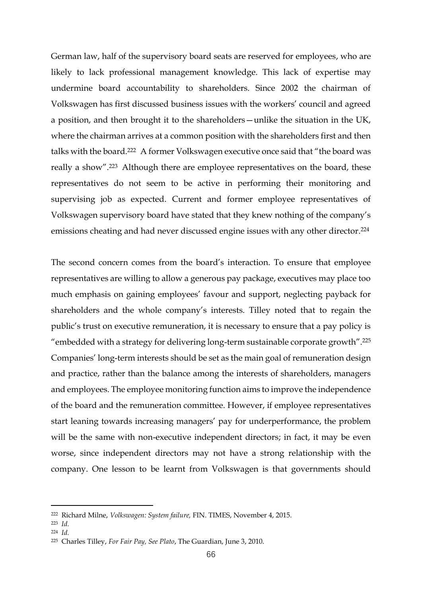German law, half of the supervisory board seats are reserved for employees, who are likely to lack professional management knowledge. This lack of expertise may undermine board accountability to shareholders. Since 2002 the chairman of Volkswagen has first discussed business issues with the workers' council and agreed a position, and then brought it to the shareholders—unlike the situation in the UK, where the chairman arrives at a common position with the shareholders first and then talks with the board.<sup>222</sup> A former Volkswagen executive once said that "the board was really a show". <sup>223</sup> Although there are employee representatives on the board, these representatives do not seem to be active in performing their monitoring and supervising job as expected. Current and former employee representatives of Volkswagen supervisory board have stated that they knew nothing of the company's emissions cheating and had never discussed engine issues with any other director.<sup>224</sup>

The second concern comes from the board's interaction. To ensure that employee representatives are willing to allow a generous pay package, executives may place too much emphasis on gaining employees' favour and support, neglecting payback for shareholders and the whole company's interests. Tilley noted that to regain the public's trust on executive remuneration, it is necessary to ensure that a pay policy is "embedded with a strategy for delivering long-term sustainable corporate growth".<sup>225</sup> Companies' long-term interests should be set as the main goal of remuneration design and practice, rather than the balance among the interests of shareholders, managers and employees. The employee monitoring function aims to improve the independence of the board and the remuneration committee. However, if employee representatives start leaning towards increasing managers' pay for underperformance, the problem will be the same with non-executive independent directors; in fact, it may be even worse, since independent directors may not have a strong relationship with the company. One lesson to be learnt from Volkswagen is that governments should

<sup>222</sup> Richard Milne, *Volkswagen: System failure,* FIN. TIMES, November 4, 2015.

<sup>223</sup> *Id.*

<sup>224</sup> *Id.*

<sup>225</sup> Charles Tilley, *For Fair Pay, See Plato*, The Guardian, June 3, 2010.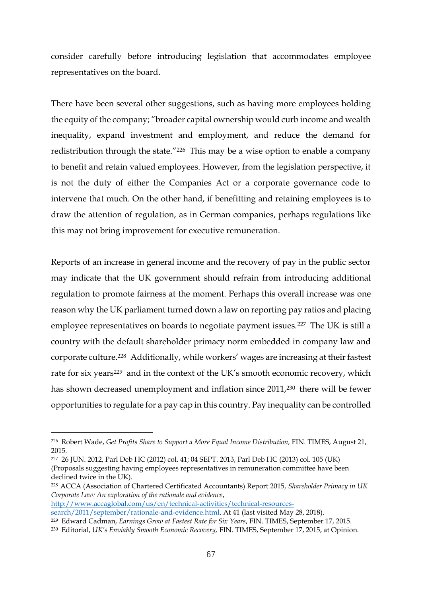consider carefully before introducing legislation that accommodates employee representatives on the board.

There have been several other suggestions, such as having more employees holding the equity of the company; "broader capital ownership would curb income and wealth inequality, expand investment and employment, and reduce the demand for redistribution through the state."<sup>226</sup> This may be a wise option to enable a company to benefit and retain valued employees. However, from the legislation perspective, it is not the duty of either the Companies Act or a corporate governance code to intervene that much. On the other hand, if benefitting and retaining employees is to draw the attention of regulation, as in German companies, perhaps regulations like this may not bring improvement for executive remuneration.

Reports of an increase in general income and the recovery of pay in the public sector may indicate that the UK government should refrain from introducing additional regulation to promote fairness at the moment. Perhaps this overall increase was one reason why the UK parliament turned down a law on reporting pay ratios and placing employee representatives on boards to negotiate payment issues.<sup>227</sup> The UK is still a country with the default shareholder primacy norm embedded in company law and corporate culture. <sup>228</sup> Additionally, while workers' wages are increasing at theirfastest rate for six years<sup>229</sup> and in the context of the UK's smooth economic recovery, which has shown decreased unemployment and inflation since 2011,<sup>230</sup> there will be fewer opportunities to regulate for a pay cap in this country. Pay inequality can be controlled

[http://www.accaglobal.com/us/en/technical-activities/technical-resources-](http://www.accaglobal.com/us/en/technical-activities/technical-resources-search/2011/september/rationale-and-evidence.html)

<sup>226</sup> Robert Wade, *Get Profits Share to Support a More Equal Income Distribution,* FIN. TIMES, August 21, 2015.

<sup>227</sup> 26 JUN. 2012, Parl Deb HC (2012) col. 41; 04 SEPT. 2013, Parl Deb HC (2013) col. 105 (UK) (Proposals suggesting having employees representatives in remuneration committee have been declined twice in the UK).

<sup>228</sup> ACCA (Association of Chartered Certificated Accountants) Report 2015, *Shareholder Primacy in UK Corporate Law: An exploration of the rationale and evidence*,

[search/2011/september/rationale-and-evidence.html.](http://www.accaglobal.com/us/en/technical-activities/technical-resources-search/2011/september/rationale-and-evidence.html) At 41 (last visited May 28, 2018).

<sup>229</sup> Edward Cadman, *Earnings Grow at Fastest Rate for Six Years*, FIN. TIMES, September 17, 2015.

<sup>230</sup> Editorial, *UK's Enviably Smooth Economic Recovery,* FIN. TIMES, September 17, 2015, at Opinion.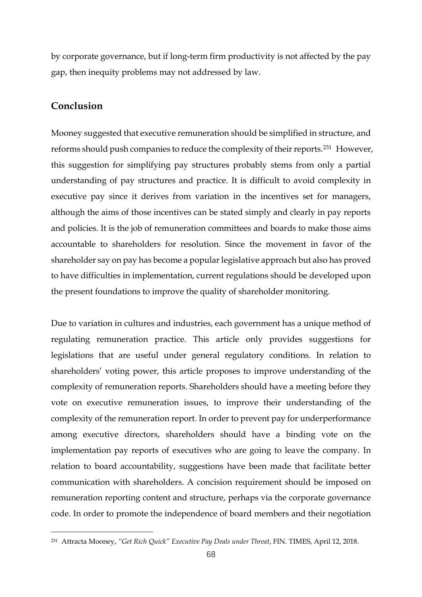by corporate governance, but if long-term firm productivity is not affected by the pay gap, then inequity problems may not addressed by law.

## **Conclusion**

<u>.</u>

Mooney suggested that executive remuneration should be simplified in structure, and reforms should push companies to reduce the complexity of their reports.<sup>231</sup> However, this suggestion for simplifying pay structures probably stems from only a partial understanding of pay structures and practice. It is difficult to avoid complexity in executive pay since it derives from variation in the incentives set for managers, although the aims of those incentives can be stated simply and clearly in pay reports and policies. It is the job of remuneration committees and boards to make those aims accountable to shareholders for resolution. Since the movement in favor of the shareholder say on pay has become a popular legislative approach but also has proved to have difficulties in implementation, current regulations should be developed upon the present foundations to improve the quality of shareholder monitoring.

Due to variation in cultures and industries, each government has a unique method of regulating remuneration practice. This article only provides suggestions for legislations that are useful under general regulatory conditions. In relation to shareholders' voting power, this article proposes to improve understanding of the complexity of remuneration reports. Shareholders should have a meeting before they vote on executive remuneration issues, to improve their understanding of the complexity of the remuneration report. In order to prevent pay for underperformance among executive directors, shareholders should have a binding vote on the implementation pay reports of executives who are going to leave the company. In relation to board accountability, suggestions have been made that facilitate better communication with shareholders. A concision requirement should be imposed on remuneration reporting content and structure, perhaps via the corporate governance code. In order to promote the independence of board members and their negotiation

<sup>231</sup> Attracta Mooney, *"Get Rich Quick" Executive Pay Deals under Threat*, FIN. TIMES, April 12, 2018.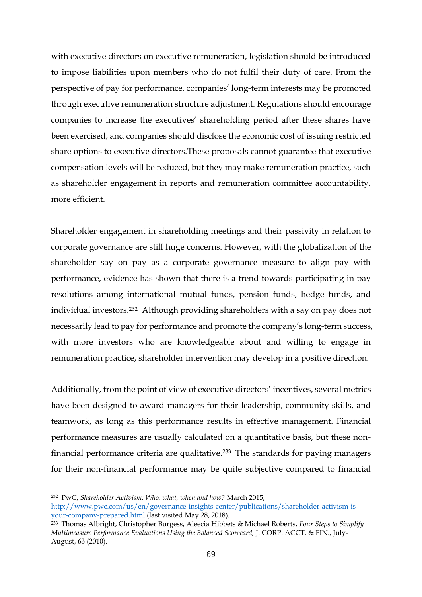with executive directors on executive remuneration, legislation should be introduced to impose liabilities upon members who do not fulfil their duty of care. From the perspective of pay for performance, companies' long-term interests may be promoted through executive remuneration structure adjustment. Regulations should encourage companies to increase the executives' shareholding period after these shares have been exercised, and companies should disclose the economic cost of issuing restricted share options to executive directors.These proposals cannot guarantee that executive compensation levels will be reduced, but they may make remuneration practice, such as shareholder engagement in reports and remuneration committee accountability, more efficient.

Shareholder engagement in shareholding meetings and their passivity in relation to corporate governance are still huge concerns. However, with the globalization of the shareholder say on pay as a corporate governance measure to align pay with performance, evidence has shown that there is a trend towards participating in pay resolutions among international mutual funds, pension funds, hedge funds, and individual investors.<sup>232</sup> Although providing shareholders with a say on pay does not necessarily lead to pay for performance and promote the company's long-term success, with more investors who are knowledgeable about and willing to engage in remuneration practice, shareholder intervention may develop in a positive direction.

Additionally, from the point of view of executive directors' incentives, several metrics have been designed to award managers for their leadership, community skills, and teamwork, as long as this performance results in effective management. Financial performance measures are usually calculated on a quantitative basis, but these nonfinancial performance criteria are qualitative.<sup>233</sup> The standards for paying managers for their non-financial performance may be quite subjective compared to financial

<sup>232</sup> PwC, *Shareholder Activism: Who, what, when and how?* March 2015, [http://www.pwc.com/us/en/governance-insights-center/publications/shareholder-activism-is](http://www.pwc.com/us/en/governance-insights-center/publications/shareholder-activism-is-your-company-prepared.html)[your-company-prepared.html](http://www.pwc.com/us/en/governance-insights-center/publications/shareholder-activism-is-your-company-prepared.html) (last visited May 28, 2018).

<sup>233</sup> Thomas Albright, Christopher Burgess, Aleecia Hibbets & Michael Roberts, *Four Steps to Simplify Multimeasure Performance Evaluations Using the Balanced Scorecard,* J. CORP. ACCT. & FIN., July-August, 63 (2010).